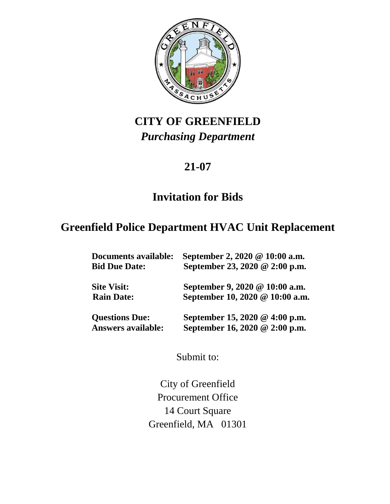

# **CITY OF GREENFIELD** *Purchasing Department*

# **21-07**

# **Invitation for Bids**

# **Greenfield Police Department HVAC Unit Replacement**

| <b>Documents available:</b><br><b>Bid Due Date:</b> | September 2, 2020 @ 10:00 a.m.<br>September 23, 2020 @ 2:00 p.m.  |
|-----------------------------------------------------|-------------------------------------------------------------------|
| <b>Site Visit:</b><br><b>Rain Date:</b>             | September 9, 2020 @ 10:00 a.m.<br>September 10, 2020 @ 10:00 a.m. |
| <b>Questions Due:</b><br><b>Answers available:</b>  | September 15, 2020 @ 4:00 p.m.<br>September 16, 2020 @ 2:00 p.m.  |

Submit to:

City of Greenfield Procurement Office 14 Court Square Greenfield, MA 01301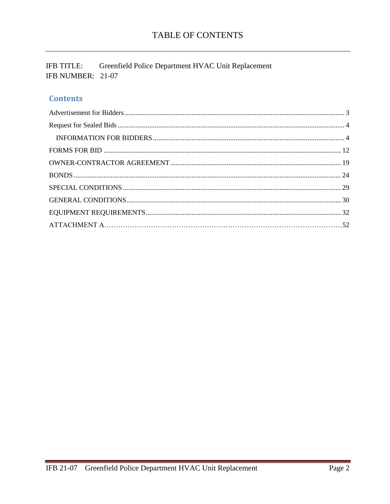IFB TITLE: Greenfield Police Department HVAC Unit Replacement IFB NUMBER: 21-07

# **Contents**

<span id="page-1-0"></span>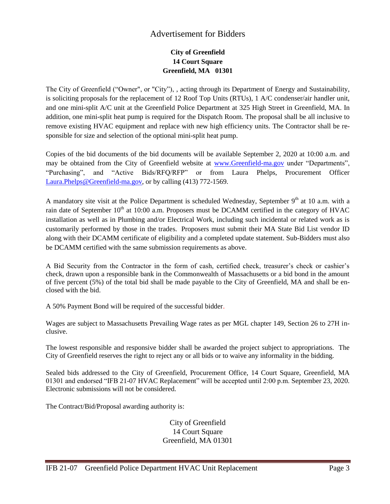# Advertisement for Bidders

# **City of Greenfield 14 Court Square Greenfield, MA 01301**

The City of Greenfield ("Owner", or "City"), , acting through its Department of Energy and Sustainability, is soliciting proposals for the replacement of 12 Roof Top Units (RTUs), 1 A/C condenser/air handler unit, and one mini-split A/C unit at the Greenfield Police Department at 325 High Street in Greenfield, MA. In addition, one mini-split heat pump is required for the Dispatch Room. The proposal shall be all inclusive to remove existing HVAC equipment and replace with new high efficiency units. The Contractor shall be responsible for size and selection of the optional mini-split heat pump.

Copies of the bid documents of the bid documents will be available September 2, 2020 at 10:00 a.m. and may be obtained from the City of Greenfield website at www.Greenfield-ma.gov under "Departments", "Purchasing", and "Active Bids/RFQ/RFP" or from Laura Phelps, Procurement Officer [Laura.Phelps@Greenfield-ma.gov,](mailto:Laura.Phelps@Greenfield-ma.gov) or by calling (413) 772-1569.

A mandatory site visit at the Police Department is scheduled Wednesday, September  $9<sup>th</sup>$  at 10 a.m. with a rain date of September  $10<sup>th</sup>$  at 10:00 a.m. Proposers must be DCAMM certified in the category of HVAC installation as well as in Plumbing and/or Electrical Work, including such incidental or related work as is customarily performed by those in the trades. Proposers must submit their MA State Bid List vendor ID along with their DCAMM certificate of eligibility and a completed update statement. Sub-Bidders must also be DCAMM certified with the same submission requirements as above.

A Bid Security from the Contractor in the form of cash, certified check, treasurer's check or cashier's check, drawn upon a responsible bank in the Commonwealth of Massachusetts or a bid bond in the amount of five percent (5%) of the total bid shall be made payable to the City of Greenfield, MA and shall be enclosed with the bid.

A 50% Payment Bond will be required of the successful bidder.

Wages are subject to Massachusetts Prevailing Wage rates as per MGL chapter 149, Section 26 to 27H inclusive.

The lowest responsible and responsive bidder shall be awarded the project subject to appropriations. The City of Greenfield reserves the right to reject any or all bids or to waive any informality in the bidding.

Sealed bids addressed to the City of Greenfield, Procurement Office, 14 Court Square, Greenfield, MA 01301 and endorsed "IFB 21-07 HVAC Replacement" will be accepted until 2:00 p.m. September 23, 2020. Electronic submissions will not be considered.

The Contract/Bid/Proposal awarding authority is:

City of Greenfield 14 Court Square Greenfield, MA 01301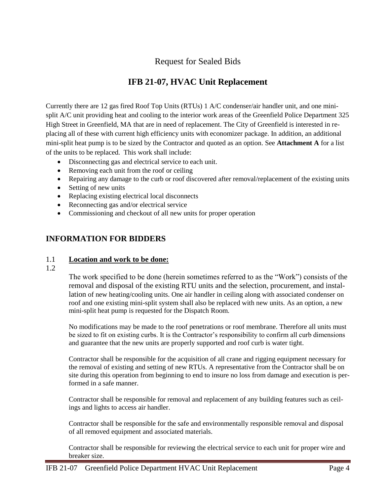# Request for Sealed Bids

# **IFB 21-07, HVAC Unit Replacement**

<span id="page-3-0"></span>Currently there are 12 gas fired Roof Top Units (RTUs) 1 A/C condenser/air handler unit, and one minisplit A/C unit providing heat and cooling to the interior work areas of the Greenfield Police Department 325 High Street in Greenfield, MA that are in need of replacement. The City of Greenfield is interested in replacing all of these with current high efficiency units with economizer package. In addition, an additional mini-split heat pump is to be sized by the Contractor and quoted as an option. See **Attachment A** for a list of the units to be replaced. This work shall include:

- Disconnecting gas and electrical service to each unit.
- Removing each unit from the roof or ceiling
- Repairing any damage to the curb or roof discovered after removal/replacement of the existing units
- Setting of new units
- Replacing existing electrical local disconnects
- Reconnecting gas and/or electrical service
- Commissioning and checkout of all new units for proper operation

# <span id="page-3-1"></span>**INFORMATION FOR BIDDERS**

#### 1.1 **Location and work to be done:**

#### 1.2

The work specified to be done (herein sometimes referred to as the "Work") consists of the removal and disposal of the existing RTU units and the selection, procurement, and installation of new heating/cooling units. One air handler in ceiling along with associated condenser on roof and one existing mini-split system shall also be replaced with new units. As an option, a new mini-split heat pump is requested for the Dispatch Room.

No modifications may be made to the roof penetrations or roof membrane. Therefore all units must be sized to fit on existing curbs. It is the Contractor's responsibility to confirm all curb dimensions and guarantee that the new units are properly supported and roof curb is water tight.

Contractor shall be responsible for the acquisition of all crane and rigging equipment necessary for the removal of existing and setting of new RTUs. A representative from the Contractor shall be on site during this operation from beginning to end to insure no loss from damage and execution is performed in a safe manner.

Contractor shall be responsible for removal and replacement of any building features such as ceilings and lights to access air handler.

Contractor shall be responsible for the safe and environmentally responsible removal and disposal of all removed equipment and associated materials.

Contractor shall be responsible for reviewing the electrical service to each unit for proper wire and breaker size.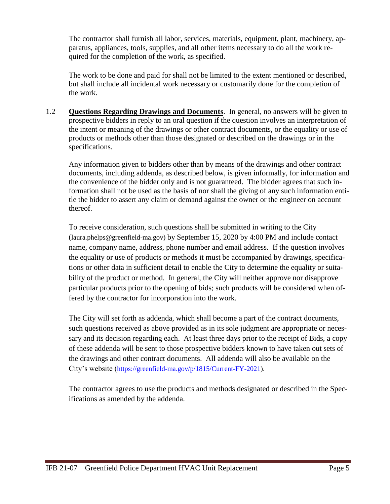The contractor shall furnish all labor, services, materials, equipment, plant, machinery, apparatus, appliances, tools, supplies, and all other items necessary to do all the work required for the completion of the work, as specified.

The work to be done and paid for shall not be limited to the extent mentioned or described, but shall include all incidental work necessary or customarily done for the completion of the work.

1.2 **Questions Regarding Drawings and Documents**. In general, no answers will be given to prospective bidders in reply to an oral question if the question involves an interpretation of the intent or meaning of the drawings or other contract documents, or the equality or use of products or methods other than those designated or described on the drawings or in the specifications.

Any information given to bidders other than by means of the drawings and other contract documents, including addenda, as described below, is given informally, for information and the convenience of the bidder only and is not guaranteed. The bidder agrees that such information shall not be used as the basis of nor shall the giving of any such information entitle the bidder to assert any claim or demand against the owner or the engineer on account thereof.

To receive consideration, such questions shall be submitted in writing to the City (laura.phelps@greenfield-ma.gov) by September 15, 2020 by 4:00 PM and include contact name, company name, address, phone number and email address. If the question involves the equality or use of products or methods it must be accompanied by drawings, specifications or other data in sufficient detail to enable the City to determine the equality or suitability of the product or method. In general, the City will neither approve nor disapprove particular products prior to the opening of bids; such products will be considered when offered by the contractor for incorporation into the work.

The City will set forth as addenda, which shall become a part of the contract documents, such questions received as above provided as in its sole judgment are appropriate or necessary and its decision regarding each. At least three days prior to the receipt of Bids, a copy of these addenda will be sent to those prospective bidders known to have taken out sets of the drawings and other contract documents. All addenda will also be available on the City's website ([https://greenfield-ma.gov/p/1815/Current-FY-2021\)](https://greenfield-ma.gov/p/1815/Current-FY-2021).

The contractor agrees to use the products and methods designated or described in the Specifications as amended by the addenda.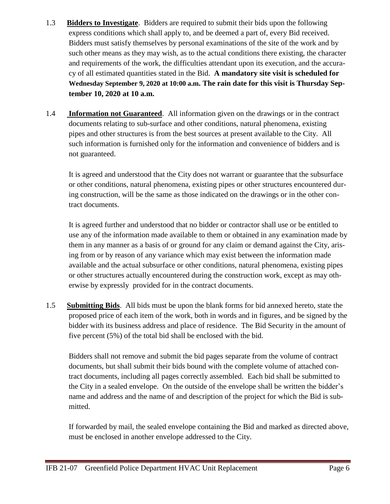- 1.3 **Bidders to Investigate**. Bidders are required to submit their bids upon the following express conditions which shall apply to, and be deemed a part of, every Bid received. Bidders must satisfy themselves by personal examinations of the site of the work and by such other means as they may wish, as to the actual conditions there existing, the character and requirements of the work, the difficulties attendant upon its execution, and the accuracy of all estimated quantities stated in the Bid. **A mandatory site visit is scheduled for Wednesday September 9, 2020 at 10:00 a.m. The rain date for this visit is Thursday September 10, 2020 at 10 a.m.**
- 1.4 **Information not Guaranteed**. All information given on the drawings or in the contract documents relating to sub-surface and other conditions, natural phenomena, existing pipes and other structures is from the best sources at present available to the City. All such information is furnished only for the information and convenience of bidders and is not guaranteed.

It is agreed and understood that the City does not warrant or guarantee that the subsurface or other conditions, natural phenomena, existing pipes or other structures encountered during construction, will be the same as those indicated on the drawings or in the other contract documents.

It is agreed further and understood that no bidder or contractor shall use or be entitled to use any of the information made available to them or obtained in any examination made by them in any manner as a basis of or ground for any claim or demand against the City, arising from or by reason of any variance which may exist between the information made available and the actual subsurface or other conditions, natural phenomena, existing pipes or other structures actually encountered during the construction work, except as may otherwise by expressly provided for in the contract documents.

1.5 **Submitting Bids**. All bids must be upon the blank forms for bid annexed hereto, state the proposed price of each item of the work, both in words and in figures, and be signed by the bidder with its business address and place of residence. The Bid Security in the amount of five percent (5%) of the total bid shall be enclosed with the bid.

Bidders shall not remove and submit the bid pages separate from the volume of contract documents, but shall submit their bids bound with the complete volume of attached contract documents, including all pages correctly assembled. Each bid shall be submitted to the City in a sealed envelope. On the outside of the envelope shall be written the bidder's name and address and the name of and description of the project for which the Bid is submitted.

If forwarded by mail, the sealed envelope containing the Bid and marked as directed above, must be enclosed in another envelope addressed to the City.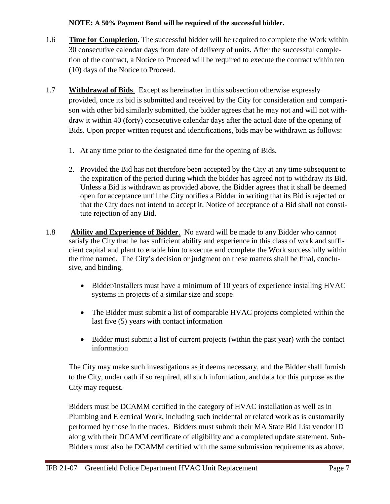## **NOTE: A 50% Payment Bond will be required of the successful bidder.**

- 1.6 **Time for Completion**. The successful bidder will be required to complete the Work within 30 consecutive calendar days from date of delivery of units. After the successful completion of the contract, a Notice to Proceed will be required to execute the contract within ten (10) days of the Notice to Proceed.
- 1.7 **Withdrawal of Bids**. Except as hereinafter in this subsection otherwise expressly provided, once its bid is submitted and received by the City for consideration and comparison with other bid similarly submitted, the bidder agrees that he may not and will not withdraw it within 40 (forty) consecutive calendar days after the actual date of the opening of Bids. Upon proper written request and identifications, bids may be withdrawn as follows:
	- 1. At any time prior to the designated time for the opening of Bids.
	- 2. Provided the Bid has not therefore been accepted by the City at any time subsequent to the expiration of the period during which the bidder has agreed not to withdraw its Bid. Unless a Bid is withdrawn as provided above, the Bidder agrees that it shall be deemed open for acceptance until the City notifies a Bidder in writing that its Bid is rejected or that the City does not intend to accept it. Notice of acceptance of a Bid shall not constitute rejection of any Bid.
- 1.8 **Ability and Experience of Bidder**. No award will be made to any Bidder who cannot satisfy the City that he has sufficient ability and experience in this class of work and sufficient capital and plant to enable him to execute and complete the Work successfully within the time named. The City's decision or judgment on these matters shall be final, conclusive, and binding.
	- Bidder/installers must have a minimum of 10 years of experience installing HVAC systems in projects of a similar size and scope
	- The Bidder must submit a list of comparable HVAC projects completed within the last five (5) years with contact information
	- Bidder must submit a list of current projects (within the past year) with the contact information

The City may make such investigations as it deems necessary, and the Bidder shall furnish to the City, under oath if so required, all such information, and data for this purpose as the City may request.

Bidders must be DCAMM certified in the category of HVAC installation as well as in Plumbing and Electrical Work, including such incidental or related work as is customarily performed by those in the trades. Bidders must submit their MA State Bid List vendor ID along with their DCAMM certificate of eligibility and a completed update statement. Sub-Bidders must also be DCAMM certified with the same submission requirements as above.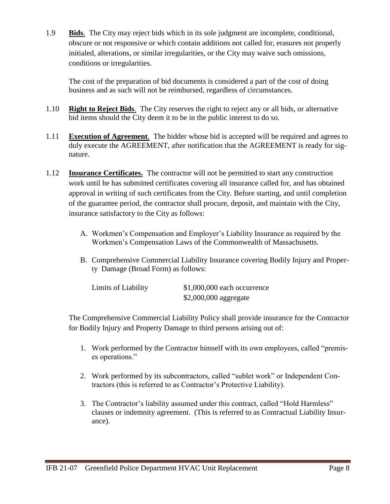1.9 **Bids**. The City may reject bids which in its sole judgment are incomplete, conditional, obscure or not responsive or which contain additions not called for, erasures not properly initialed, alterations, or similar irregularities, or the City may waive such omissions, conditions or irregularities.

The cost of the preparation of bid documents is considered a part of the cost of doing business and as such will not be reimbursed, regardless of circumstances.

- 1.10 **Right to Reject Bids**. The City reserves the right to reject any or all bids, or alternative bid items should the City deem it to be in the public interest to do so.
- 1.11 **Execution of Agreement**. The bidder whose bid is accepted will be required and agrees to duly execute the AGREEMENT, after notification that the AGREEMENT is ready for signature.
- 1.12 **Insurance Certificates.** The contractor will not be permitted to start any construction work until he has submitted certificates covering all insurance called for, and has obtained approval in writing of such certificates from the City. Before starting, and until completion of the guarantee period, the contractor shall procure, deposit, and maintain with the City, insurance satisfactory to the City as follows:
	- A. Workmen's Compensation and Employer's Liability Insurance as required by the Workmen's Compensation Laws of the Commonwealth of Massachusetts.
	- B. Comprehensive Commercial Liability Insurance covering Bodily Injury and Property Damage (Broad Form) as follows:

| Limits of Liability | $$1,000,000$ each occurrence |
|---------------------|------------------------------|
|                     | $$2,000,000$ aggregate       |

The Comprehensive Commercial Liability Policy shall provide insurance for the Contractor for Bodily Injury and Property Damage to third persons arising out of:

- 1. Work performed by the Contractor himself with its own employees, called "premises operations."
- 2. Work performed by its subcontractors, called "sublet work" or Independent Contractors (this is referred to as Contractor's Protective Liability).
- 3. The Contractor's liability assumed under this contract, called "Hold Harmless" clauses or indemnity agreement. (This is referred to as Contractual Liability Insurance).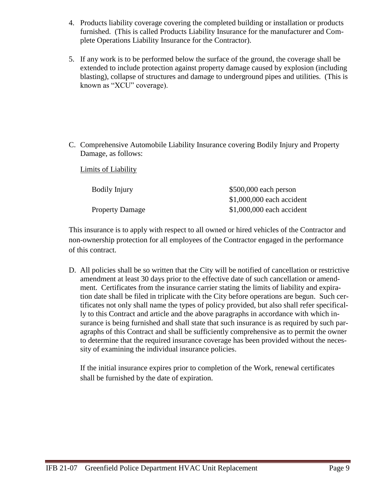- 4. Products liability coverage covering the completed building or installation or products furnished. (This is called Products Liability Insurance for the manufacturer and Complete Operations Liability Insurance for the Contractor).
- 5. If any work is to be performed below the surface of the ground, the coverage shall be extended to include protection against property damage caused by explosion (including blasting), collapse of structures and damage to underground pipes and utilities. (This is known as "XCU" coverage).

C. Comprehensive Automobile Liability Insurance covering Bodily Injury and Property Damage, as follows:

Limits of Liability

| Bodily Injury          | $$500,000$ each person     |
|------------------------|----------------------------|
|                        | $$1,000,000$ each accident |
| <b>Property Damage</b> | $$1,000,000$ each accident |

This insurance is to apply with respect to all owned or hired vehicles of the Contractor and non-ownership protection for all employees of the Contractor engaged in the performance of this contract.

D. All policies shall be so written that the City will be notified of cancellation or restrictive amendment at least 30 days prior to the effective date of such cancellation or amendment. Certificates from the insurance carrier stating the limits of liability and expiration date shall be filed in triplicate with the City before operations are begun. Such certificates not only shall name the types of policy provided, but also shall refer specifically to this Contract and article and the above paragraphs in accordance with which insurance is being furnished and shall state that such insurance is as required by such paragraphs of this Contract and shall be sufficiently comprehensive as to permit the owner to determine that the required insurance coverage has been provided without the necessity of examining the individual insurance policies.

If the initial insurance expires prior to completion of the Work, renewal certificates shall be furnished by the date of expiration.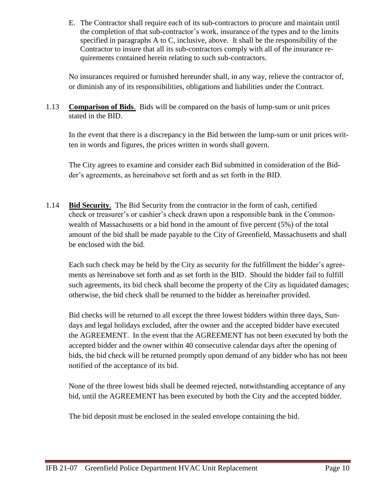E. The Contractor shall require each of its sub-contractors to procure and maintain until the completion of that sub-contractor's work, insurance of the types and to the limits specified in paragraphs A to C, inclusive, above. It shall be the responsibility of the Contractor to insure that all its sub-contractors comply with all of the insurance requirements contained herein relating to such sub-contractors.

No insurances required or furnished hereunder shall, in any way, relieve the contractor of, or diminish any of its responsibilities, obligations and liabilities under the Contract.

1.13 **Comparison of Bids**. Bids will be compared on the basis of lump-sum or unit prices stated in the BID.

In the event that there is a discrepancy in the Bid between the lump-sum or unit prices written in words and figures, the prices written in words shall govern.

The City agrees to examine and consider each Bid submitted in consideration of the Bidder's agreements, as hereinabove set forth and as set forth in the BID.

1.14 **Bid Security**. The Bid Security from the contractor in the form of cash, certified check or treasurer's or cashier's check drawn upon a responsible bank in the Commonwealth of Massachusetts or a bid bond in the amount of five percent (5%) of the total amount of the bid shall be made payable to the City of Greenfield, Massachusetts and shall be enclosed with the bid.

Each such check may be held by the City as security for the fulfillment the bidder's agreements as hereinabove set forth and as set forth in the BID. Should the bidder fail to fulfill such agreements, its bid check shall become the property of the City as liquidated damages; otherwise, the bid check shall be returned to the bidder as hereinafter provided.

Bid checks will be returned to all except the three lowest bidders within three days, Sundays and legal holidays excluded, after the owner and the accepted bidder have executed the AGREEMENT. In the event that the AGREEMENT has not been executed by both the accepted bidder and the owner within 40 consecutive calendar days after the opening of bids, the bid check will be returned promptly upon demand of any bidder who has not been notified of the acceptance of its bid.

None of the three lowest bids shall be deemed rejected, notwithstanding acceptance of any bid, until the AGREEMENT has been executed by both the City and the accepted bidder.

The bid deposit must be enclosed in the sealed envelope containing the bid.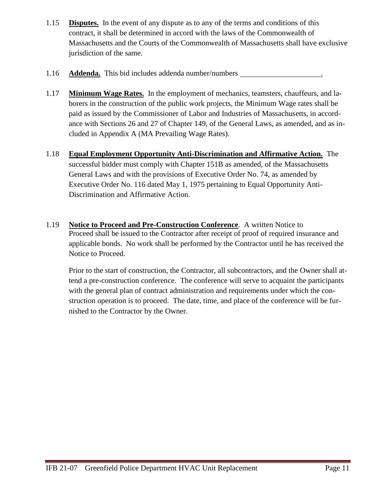- 1.15 **Disputes.** In the event of any dispute as to any of the terms and conditions of this contract, it shall be determined in accord with the laws of the Commonwealth of Massachusetts and the Courts of the Commonwealth of Massachusetts shall have exclusive jurisdiction of the same.
- 1.16 **Addenda.** This bid includes addenda number/numbers .
- 1.17 **Minimum Wage Rates.** In the employment of mechanics, teamsters, chauffeurs, and laborers in the construction of the public work projects, the Minimum Wage rates shall be paid as issued by the Commissioner of Labor and Industries of Massachusetts, in accordance with Sections 26 and 27 of Chapter 149, of the General Laws, as amended, and as included in Appendix A (MA Prevailing Wage Rates).
- 1.18 **Equal Employment Opportunity Anti-Discrimination and Affirmative Action.** The successful bidder must comply with Chapter 151B as amended, of the Massachusetts General Laws and with the provisions of Executive Order No. 74, as amended by Executive Order No. 116 dated May 1, 1975 pertaining to Equal Opportunity Anti-Discrimination and Affirmative Action.
- 1.19 **Notice to Proceed and Pre-Construction Conference**. A written Notice to Proceed shall be issued to the Contractor after receipt of proof of required insurance and applicable bonds. No work shall be performed by the Contractor until he has received the Notice to Proceed.

Prior to the start of construction, the Contractor, all subcontractors, and the Owner shall attend a pre-construction conference. The conference will serve to acquaint the participants with the general plan of contract administration and requirements under which the construction operation is to proceed. The date, time, and place of the conference will be furnished to the Contractor by the Owner.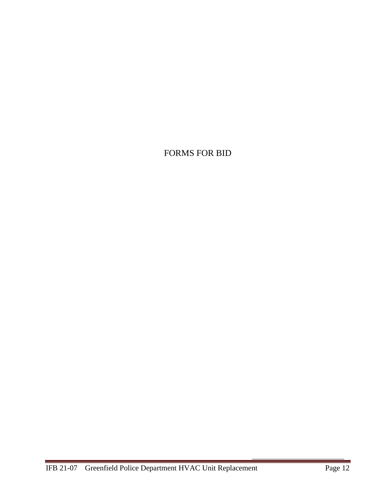# <span id="page-11-0"></span>FORMS FOR BID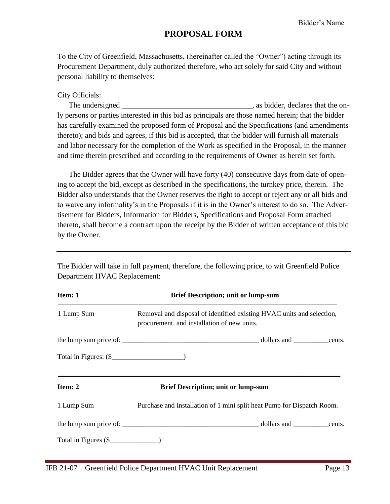# **PROPOSAL FORM**

To the City of Greenfield, Massachusetts, (hereinafter called the "Owner") acting through its Procurement Department, duly authorized therefore, who act solely for said City and without personal liability to themselves:

#### City Officials:

The undersigned  $\qquad \qquad$  , as bidder, declares that the only persons or parties interested in this bid as principals are those named herein; that the bidder has carefully examined the proposed form of Proposal and the Specifications (and amendments thereto); and bids and agrees, if this bid is accepted, that the bidder will furnish all materials and labor necessary for the completion of the Work as specified in the Proposal, in the manner and time therein prescribed and according to the requirements of Owner as herein set forth.

The Bidder agrees that the Owner will have forty (40) consecutive days from date of opening to accept the bid, except as described in the specifications, the turnkey price, therein. The Bidder also understands that the Owner reserves the right to accept or reject any or all bids and to waive any informality's in the Proposals if it is in the Owner's interest to do so. The Advertisement for Bidders, Information for Bidders, Specifications and Proposal Form attached thereto, shall become a contract upon the receipt by the Bidder of written acceptance of this bid by the Owner.

The Bidder will take in full payment, therefore, the following price, to wit Greenfield Police Department HVAC Replacement:

| Item: 1               | <b>Brief Description; unit or lump-sum</b>                                                                           |  |  |  |  |  |
|-----------------------|----------------------------------------------------------------------------------------------------------------------|--|--|--|--|--|
| 1 Lump Sum            | Removal and disposal of identified existing HVAC units and selection,<br>procurement, and installation of new units. |  |  |  |  |  |
|                       |                                                                                                                      |  |  |  |  |  |
|                       |                                                                                                                      |  |  |  |  |  |
| Item: 2               | <b>Brief Description; unit or lump-sum</b>                                                                           |  |  |  |  |  |
| 1 Lump Sum            | Purchase and Installation of 1 mini split heat Pump for Dispatch Room.                                               |  |  |  |  |  |
|                       |                                                                                                                      |  |  |  |  |  |
| Total in Figures $(\$ |                                                                                                                      |  |  |  |  |  |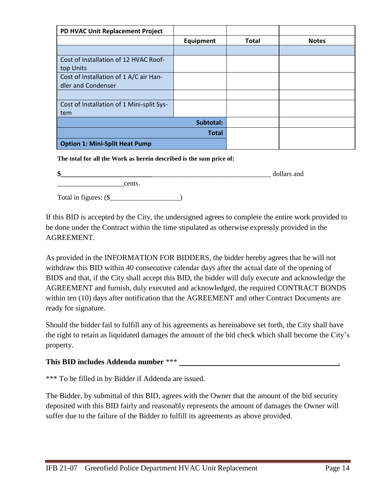| PD HVAC Unit Replacement Project          |           |              |              |
|-------------------------------------------|-----------|--------------|--------------|
|                                           | Equipment | <b>Total</b> | <b>Notes</b> |
|                                           |           |              |              |
| Cost of Installation of 12 HVAC Roof-     |           |              |              |
| top Units                                 |           |              |              |
| Cost of Installation of 1 A/C air Han-    |           |              |              |
| dler and Condenser                        |           |              |              |
|                                           |           |              |              |
| Cost of Installation of 1 Mini-split Sys- |           |              |              |
| tem                                       |           |              |              |
|                                           | Subtotal: |              |              |
|                                           |           |              |              |
| <b>Option 1: Mini-Split Heat Pump</b>     |           |              |              |

**The total for all the Work as herein described is the sum price of:** 

| \$                    |        | dollars and |
|-----------------------|--------|-------------|
|                       | cents. |             |
| Total in figures: (\$ |        |             |

If this BID is accepted by the City, the undersigned agrees to complete the entire work provided to be done under the Contract within the time stipulated as otherwise expressly provided in the AGREEMENT.

As provided in the INFORMATION FOR BIDDERS, the bidder hereby agrees that he will not withdraw this BID within 40 consecutive calendar days after the actual date of the opening of BIDS and that, if the City shall accept this BID, the bidder will duly execute and acknowledge the AGREEMENT and furnish, duly executed and acknowledged, the required CONTRACT BONDS within ten (10) days after notification that the AGREEMENT and other Contract Documents are ready for signature.

Should the bidder fail to fulfill any of his agreements as hereinabove set forth, the City shall have the right to retain as liquidated damages the amount of the bid check which shall become the City's property.

## **This BID includes Addenda number** \*\*\* .

\*\*\* To be filled in by Bidder if Addenda are issued.

The Bidder, by submittal of this BID, agrees with the Owner that the amount of the bid security deposited with this BID fairly and reasonably represents the amount of damages the Owner will suffer due to the failure of the Bidder to fulfill its agreements as above provided.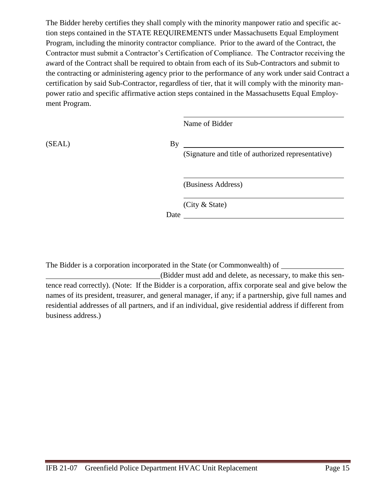The Bidder hereby certifies they shall comply with the minority manpower ratio and specific action steps contained in the STATE REQUIREMENTS under Massachusetts Equal Employment Program, including the minority contractor compliance. Prior to the award of the Contract, the Contractor must submit a Contractor's Certification of Compliance. The Contractor receiving the award of the Contract shall be required to obtain from each of its Sub-Contractors and submit to the contracting or administering agency prior to the performance of any work under said Contract a certification by said Sub-Contractor, regardless of tier, that it will comply with the minority manpower ratio and specific affirmative action steps contained in the Massachusetts Equal Employment Program.

Name of Bidder

(SEAL) By

(Signature and title of authorized representative)

(Business Address)

(City & State)

Date and the set of the set of the set of the set of the set of the set of the set of the set of the set of the set of the set of the set of the set of the set of the set of the set of the set of the set of the set of the

The Bidder is a corporation incorporated in the State (or Commonwealth) of

(Bidder must add and delete, as necessary, to make this sentence read correctly). (Note: If the Bidder is a corporation, affix corporate seal and give below the names of its president, treasurer, and general manager, if any; if a partnership, give full names and residential addresses of all partners, and if an individual, give residential address if different from business address.)

i<br>L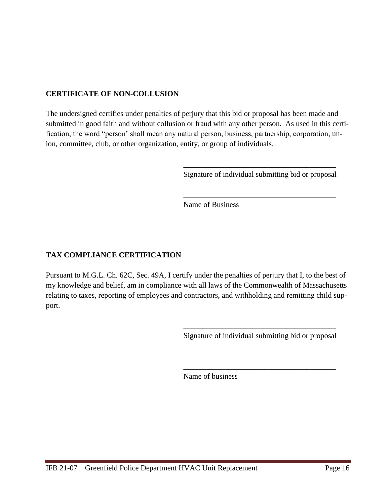# **CERTIFICATE OF NON-COLLUSION**

The undersigned certifies under penalties of perjury that this bid or proposal has been made and submitted in good faith and without collusion or fraud with any other person. As used in this certification, the word "person' shall mean any natural person, business, partnership, corporation, union, committee, club, or other organization, entity, or group of individuals.

> \_\_\_\_\_\_\_\_\_\_\_\_\_\_\_\_\_\_\_\_\_\_\_\_\_\_\_\_\_\_\_\_\_\_\_\_\_\_\_\_ Signature of individual submitting bid or proposal

> \_\_\_\_\_\_\_\_\_\_\_\_\_\_\_\_\_\_\_\_\_\_\_\_\_\_\_\_\_\_\_\_\_\_\_\_\_\_\_\_

Name of Business

# **TAX COMPLIANCE CERTIFICATION**

Pursuant to M.G.L. Ch. 62C, Sec. 49A, I certify under the penalties of perjury that I, to the best of my knowledge and belief, am in compliance with all laws of the Commonwealth of Massachusetts relating to taxes, reporting of employees and contractors, and withholding and remitting child support.

> \_\_\_\_\_\_\_\_\_\_\_\_\_\_\_\_\_\_\_\_\_\_\_\_\_\_\_\_\_\_\_\_\_\_\_\_\_\_\_\_ Signature of individual submitting bid or proposal

> \_\_\_\_\_\_\_\_\_\_\_\_\_\_\_\_\_\_\_\_\_\_\_\_\_\_\_\_\_\_\_\_\_\_\_\_\_\_\_\_

Name of business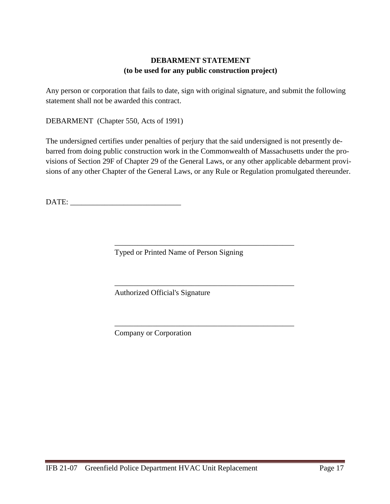# **DEBARMENT STATEMENT (to be used for any public construction project)**

Any person or corporation that fails to date, sign with original signature, and submit the following statement shall not be awarded this contract.

DEBARMENT (Chapter 550, Acts of 1991)

The undersigned certifies under penalties of perjury that the said undersigned is not presently debarred from doing public construction work in the Commonwealth of Massachusetts under the provisions of Section 29F of Chapter 29 of the General Laws, or any other applicable debarment provisions of any other Chapter of the General Laws, or any Rule or Regulation promulgated thereunder.

\_\_\_\_\_\_\_\_\_\_\_\_\_\_\_\_\_\_\_\_\_\_\_\_\_\_\_\_\_\_\_\_\_\_\_\_\_\_\_\_\_\_\_\_\_\_\_

\_\_\_\_\_\_\_\_\_\_\_\_\_\_\_\_\_\_\_\_\_\_\_\_\_\_\_\_\_\_\_\_\_\_\_\_\_\_\_\_\_\_\_\_\_\_\_

\_\_\_\_\_\_\_\_\_\_\_\_\_\_\_\_\_\_\_\_\_\_\_\_\_\_\_\_\_\_\_\_\_\_\_\_\_\_\_\_\_\_\_\_\_\_\_

DATE:

Typed or Printed Name of Person Signing

Authorized Official's Signature

Company or Corporation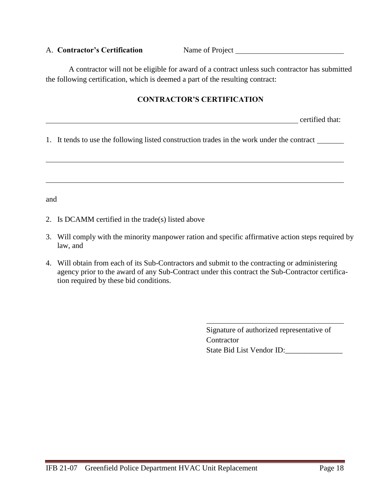#### A. **Contractor's Certification** Name of Project

A contractor will not be eligible for award of a contract unless such contractor has submitted the following certification, which is deemed a part of the resulting contract:

## **CONTRACTOR'S CERTIFICATION**

certified that:

1. It tends to use the following listed construction trades in the work under the contract

and

- 2. Is DCAMM certified in the trade(s) listed above
- 3. Will comply with the minority manpower ration and specific affirmative action steps required by law, and
- 4. Will obtain from each of its Sub-Contractors and submit to the contracting or administering agency prior to the award of any Sub-Contract under this contract the Sub-Contractor certification required by these bid conditions.

Signature of authorized representative of **Contractor** State Bid List Vendor ID: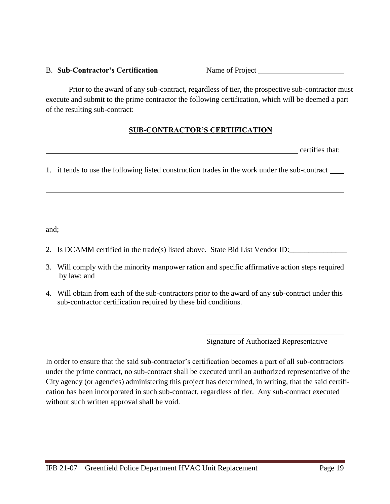#### B. Sub-Contractor's Certification Name of Project \_\_\_\_\_\_\_\_\_\_\_\_\_\_\_\_\_\_\_\_\_\_\_\_\_\_\_\_\_\_\_

Prior to the award of any sub-contract, regardless of tier, the prospective sub-contractor must execute and submit to the prime contractor the following certification, which will be deemed a part of the resulting sub-contract:

# **SUB-CONTRACTOR'S CERTIFICATION**

certifies that:

1. it tends to use the following listed construction trades in the work under the sub-contract

and;

- 2. Is DCAMM certified in the trade(s) listed above. State Bid List Vendor ID:
- 3. Will comply with the minority manpower ration and specific affirmative action steps required by law; and
- 4. Will obtain from each of the sub-contractors prior to the award of any sub-contract under this sub-contractor certification required by these bid conditions.

Signature of Authorized Representative

In order to ensure that the said sub-contractor's certification becomes a part of all sub-contractors under the prime contract, no sub-contract shall be executed until an authorized representative of the City agency (or agencies) administering this project has determined, in writing, that the said certification has been incorporated in such sub-contract, regardless of tier. Any sub-contract executed without such written approval shall be void.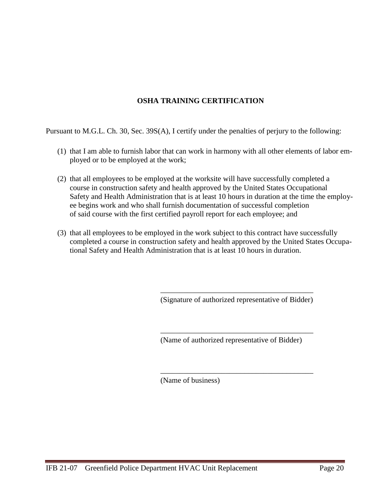# **OSHA TRAINING CERTIFICATION**

Pursuant to M.G.L. Ch. 30, Sec. 39S(A), I certify under the penalties of perjury to the following:

- (1) that I am able to furnish labor that can work in harmony with all other elements of labor employed or to be employed at the work;
- (2) that all employees to be employed at the worksite will have successfully completed a course in construction safety and health approved by the United States Occupational Safety and Health Administration that is at least 10 hours in duration at the time the employee begins work and who shall furnish documentation of successful completion of said course with the first certified payroll report for each employee; and
- (3) that all employees to be employed in the work subject to this contract have successfully completed a course in construction safety and health approved by the United States Occupational Safety and Health Administration that is at least 10 hours in duration.

\_\_\_\_\_\_\_\_\_\_\_\_\_\_\_\_\_\_\_\_\_\_\_\_\_\_\_\_\_\_\_\_\_\_\_\_\_\_\_\_ (Signature of authorized representative of Bidder)

\_\_\_\_\_\_\_\_\_\_\_\_\_\_\_\_\_\_\_\_\_\_\_\_\_\_\_\_\_\_\_\_\_\_\_\_\_\_\_\_

\_\_\_\_\_\_\_\_\_\_\_\_\_\_\_\_\_\_\_\_\_\_\_\_\_\_\_\_\_\_\_\_\_\_\_\_\_\_\_\_

(Name of authorized representative of Bidder)

(Name of business)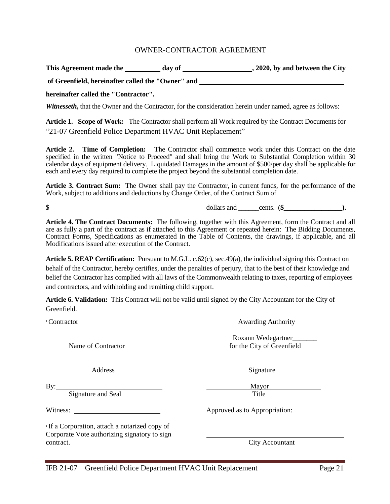#### OWNER-CONTRACTOR AGREEMENT

<span id="page-20-0"></span>This Agreement made the day of 3020, by and between the City

**of Greenfield, hereinafter called the "Owner" and \_\_\_\_\_\_\_**

**hereinafter called the "Contractor".**

*Witnesseth*, that the Owner and the Contractor, for the consideration herein under named, agree as follows:

**Article 1. Scope of Work:** The Contractor shall perform all Work required by the Contract Documents for "21-07 Greenfield Police Department HVAC Unit Replacement"

**Article 2. Time of Completion:** The Contractor shall commence work under this Contract on the date specified in the written "Notice to Proceed" and shall bring the Work to Substantial Completion within 30 calendar days of equipment delivery. Liquidated Damages in the amount of \$500/per day shall be applicable for each and every day required to complete the project beyond the substantial completion date.

**Article 3. Contract Sum:** The Owner shall pay the Contractor, in current funds, for the performance of the Work, subject to additions and deductions by Change Order, of the Contract Sum of

 $\bullet$  dollars and cents. ( $\bullet$  ).

**Article 4. The Contract Documents:** The following, together with this Agreement, form the Contract and all are as fully a part of the contract as if attached to this Agreement or repeated herein: The Bidding Documents, Contract Forms, Specifications as enumerated in the Table of Contents, the drawings, if applicable, and all Modifications issued after execution of the Contract.

**Article 5. REAP Certification:** Pursuant to M.G.L. c.62(c), sec.49(a), the individual signing this Contract on behalf of the Contractor, hereby certifies, under the penalties of perjury, that to the best of their knowledge and belief the Contractor has complied with all laws of the Commonwealth relating to taxes, reporting of employees and contractors, and withholding and remitting child support.

**Article 6. Validation:** This Contract will not be valid until signed by the City Accountant for the City of Greenfield.

<sup>1</sup>Contractor **Awarding Authority** 

 Roxann Wedegartner\_\_\_\_\_\_\_ Name of Contractor for the City of Greenfield

Address Signature

By: Mayor Signature and Seal Title

Witness: Approved as to Appropriation:

1 If a Corporation, attach a notarized copy of Corporate Vote authorizing signatory to sign contract. City Accountant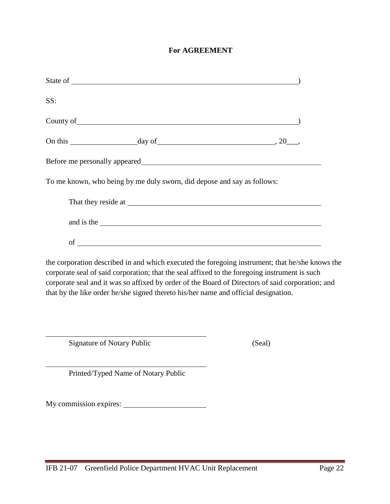#### **For AGREEMENT**

| State of |                                                                                                                                                                                                                                      |  |
|----------|--------------------------------------------------------------------------------------------------------------------------------------------------------------------------------------------------------------------------------------|--|
| SS:      |                                                                                                                                                                                                                                      |  |
|          |                                                                                                                                                                                                                                      |  |
|          |                                                                                                                                                                                                                                      |  |
|          |                                                                                                                                                                                                                                      |  |
|          | To me known, who being by me duly sworn, did depose and say as follows:                                                                                                                                                              |  |
|          |                                                                                                                                                                                                                                      |  |
|          | and is the <u>second contract of the second contract of the second contract of the second contract of the second contract of the second contract of the second contract of the second contract of the second contract of the sec</u> |  |
|          |                                                                                                                                                                                                                                      |  |

the corporation described in and which executed the foregoing instrument; that he/she knows the corporate seal of said corporation; that the seal affixed to the foregoing instrument is such corporate seal and it was so affixed by order of the Board of Directors of said corporation; and that by the like order he/she signed thereto his/her name and official designation.

Signature of Notary Public (Seal)

Printed/Typed Name of Notary Public

My commission expires: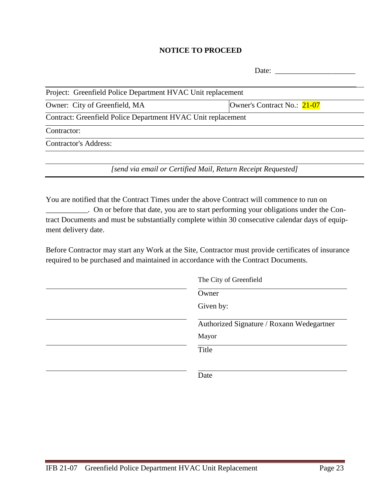#### **NOTICE TO PROCEED**

| Date:                                                        |                                                              |  |  |  |  |
|--------------------------------------------------------------|--------------------------------------------------------------|--|--|--|--|
| Project: Greenfield Police Department HVAC Unit replacement  |                                                              |  |  |  |  |
| Owner: City of Greenfield, MA                                | Owner's Contract No.: 21-07                                  |  |  |  |  |
| Contract: Greenfield Police Department HVAC Unit replacement |                                                              |  |  |  |  |
| Contractor:                                                  |                                                              |  |  |  |  |
| <b>Contractor's Address:</b>                                 |                                                              |  |  |  |  |
|                                                              |                                                              |  |  |  |  |
|                                                              | [send via email or Certified Mail, Return Receipt Requested] |  |  |  |  |

You are notified that the Contract Times under the above Contract will commence to run on \_\_\_\_\_\_\_\_\_\_\_. On or before that date, you are to start performing your obligations under the Contract Documents and must be substantially complete within 30 consecutive calendar days of equipment delivery date.

Before Contractor may start any Work at the Site, Contractor must provide certificates of insurance required to be purchased and maintained in accordance with the Contract Documents.

| The City of Greenfield                    |  |  |  |
|-------------------------------------------|--|--|--|
| Owner                                     |  |  |  |
| Given by:                                 |  |  |  |
| Authorized Signature / Roxann Wedegartner |  |  |  |
| Mayor                                     |  |  |  |
| Title                                     |  |  |  |
|                                           |  |  |  |
| Date                                      |  |  |  |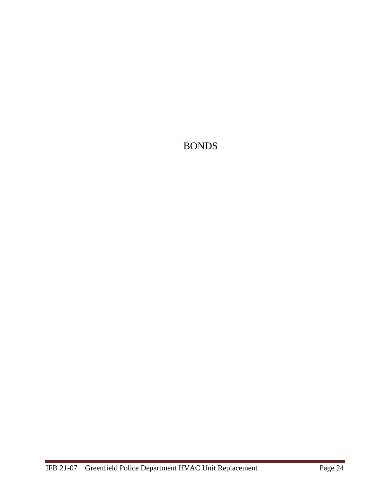<span id="page-23-0"></span>BONDS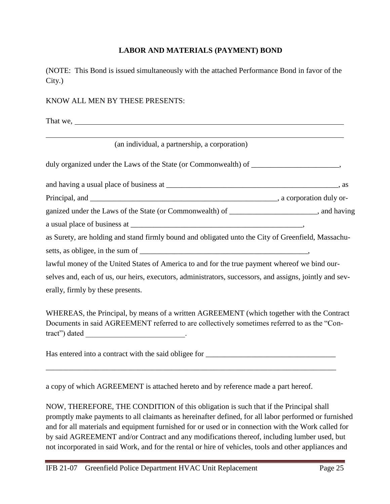## **LABOR AND MATERIALS (PAYMENT) BOND**

(NOTE: This Bond is issued simultaneously with the attached Performance Bond in favor of the City.)

#### KNOW ALL MEN BY THESE PRESENTS:

That we,

|  |  | (an individual, a partnership, a corporation) |  |  |  |
|--|--|-----------------------------------------------|--|--|--|
|  |  |                                               |  |  |  |

| duly organized under the Laws of the State (or Commonwealth) of |
|-----------------------------------------------------------------|
|-----------------------------------------------------------------|

| and having a usual place of business at |  |
|-----------------------------------------|--|
|                                         |  |

Principal, and \_\_\_\_\_\_\_\_\_\_\_\_\_\_\_\_\_\_\_\_\_\_\_\_\_\_\_\_\_\_\_\_\_\_\_\_\_\_\_\_\_\_\_\_\_\_\_\_\_, a corporation duly or-

ganized under the Laws of the State (or Commonwealth) of can consider the Laws of the State (or Commonwealth) of a usual place of business at  $\blacksquare$ 

as Surety, are holding and stand firmly bound and obligated unto the City of Greenfield, Massachu-

setts, as obligee, in the sum of \_\_\_\_\_\_\_\_\_\_\_\_\_\_\_\_\_\_\_\_\_\_\_\_\_\_\_\_\_\_\_\_\_\_\_\_\_\_\_\_\_\_\_\_,

lawful money of the United States of America to and for the true payment whereof we bind our-

selves and, each of us, our heirs, executors, administrators, successors, and assigns, jointly and severally, firmly by these presents.

WHEREAS, the Principal, by means of a written AGREEMENT (which together with the Contract Documents in said AGREEMENT referred to are collectively sometimes referred to as the "Contract") dated \_\_\_\_\_\_\_\_\_\_\_\_\_\_\_\_\_\_\_\_\_\_\_\_\_\_\_\_\_.

Has entered into a contract with the said obligee for \_\_\_\_\_\_\_\_\_\_\_\_\_\_\_\_\_\_\_\_\_\_\_\_\_\_

\_\_\_\_\_\_\_\_\_\_\_\_\_\_\_\_\_\_\_\_\_\_\_\_\_\_\_\_\_\_\_\_\_\_\_\_\_\_\_\_\_\_\_\_\_\_\_\_\_\_\_\_\_\_\_\_\_\_\_\_\_\_\_\_\_\_\_\_\_\_\_\_\_\_\_\_

a copy of which AGREEMENT is attached hereto and by reference made a part hereof.

NOW, THEREFORE, THE CONDITION of this obligation is such that if the Principal shall promptly make payments to all claimants as hereinafter defined, for all labor performed or furnished and for all materials and equipment furnished for or used or in connection with the Work called for by said AGREEMENT and/or Contract and any modifications thereof, including lumber used, but not incorporated in said Work, and for the rental or hire of vehicles, tools and other appliances and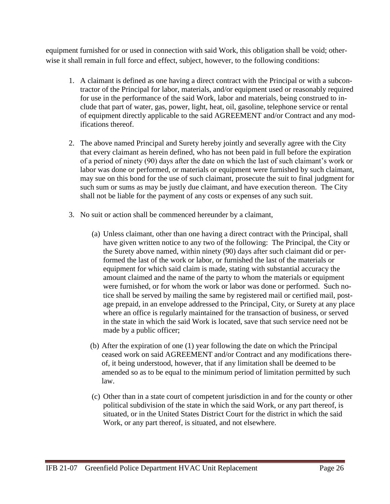equipment furnished for or used in connection with said Work, this obligation shall be void; otherwise it shall remain in full force and effect, subject, however, to the following conditions:

- 1. A claimant is defined as one having a direct contract with the Principal or with a subcontractor of the Principal for labor, materials, and/or equipment used or reasonably required for use in the performance of the said Work, labor and materials, being construed to include that part of water, gas, power, light, heat, oil, gasoline, telephone service or rental of equipment directly applicable to the said AGREEMENT and/or Contract and any modifications thereof.
- 2. The above named Principal and Surety hereby jointly and severally agree with the City that every claimant as herein defined, who has not been paid in full before the expiration of a period of ninety (90) days after the date on which the last of such claimant's work or labor was done or performed, or materials or equipment were furnished by such claimant, may sue on this bond for the use of such claimant, prosecute the suit to final judgment for such sum or sums as may be justly due claimant, and have execution thereon. The City shall not be liable for the payment of any costs or expenses of any such suit.
- 3. No suit or action shall be commenced hereunder by a claimant,
	- (a) Unless claimant, other than one having a direct contract with the Principal, shall have given written notice to any two of the following: The Principal, the City or the Surety above named, within ninety (90) days after such claimant did or performed the last of the work or labor, or furnished the last of the materials or equipment for which said claim is made, stating with substantial accuracy the amount claimed and the name of the party to whom the materials or equipment were furnished, or for whom the work or labor was done or performed. Such notice shall be served by mailing the same by registered mail or certified mail, postage prepaid, in an envelope addressed to the Principal, City, or Surety at any place where an office is regularly maintained for the transaction of business, or served in the state in which the said Work is located, save that such service need not be made by a public officer;
	- (b) After the expiration of one (1) year following the date on which the Principal ceased work on said AGREEMENT and/or Contract and any modifications thereof, it being understood, however, that if any limitation shall be deemed to be amended so as to be equal to the minimum period of limitation permitted by such law.
	- (c) Other than in a state court of competent jurisdiction in and for the county or other political subdivision of the state in which the said Work, or any part thereof, is situated, or in the United States District Court for the district in which the said Work, or any part thereof, is situated, and not elsewhere.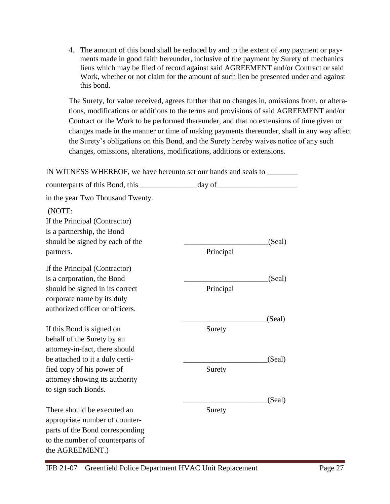4. The amount of this bond shall be reduced by and to the extent of any payment or payments made in good faith hereunder, inclusive of the payment by Surety of mechanics liens which may be filed of record against said AGREEMENT and/or Contract or said Work, whether or not claim for the amount of such lien be presented under and against this bond.

The Surety, for value received, agrees further that no changes in, omissions from, or alterations, modifications or additions to the terms and provisions of said AGREEMENT and/or Contract or the Work to be performed thereunder, and that no extensions of time given or changes made in the manner or time of making payments thereunder, shall in any way affect the Surety's obligations on this Bond, and the Surety hereby waives notice of any such changes, omissions, alterations, modifications, additions or extensions.

IN WITNESS WHEREOF, we have hereunto set our hands and seals to counterparts of this Bond, this \_\_\_\_\_\_\_\_\_\_\_\_\_\_\_day of\_\_\_\_\_\_\_\_\_\_\_\_\_\_\_\_\_\_\_\_\_ in the year Two Thousand Twenty. (NOTE: If the Principal (Contractor) is a partnership, the Bond should be signed by each of the \_\_\_\_\_\_\_\_\_\_\_\_\_\_\_\_\_\_\_\_\_\_\_\_\_\_\_\_(Seal) partners. Principal If the Principal (Contractor) is a corporation, the Bond \_\_\_\_\_\_\_\_\_\_\_\_\_\_\_\_\_\_\_\_\_\_(Seal) should be signed in its correct Principal corporate name by its duly authorized officer or officers. \_\_\_\_\_\_\_\_\_\_\_\_\_\_\_\_\_\_\_\_\_\_(Seal) If this Bond is signed on Surety behalf of the Surety by an attorney-in-fact, there should be attached to it a duly certi-  $(Se$ al) fied copy of his power of Surety attorney showing its authority to sign such Bonds. \_\_\_\_\_\_\_\_\_\_\_\_\_\_\_\_\_\_\_\_\_\_(Seal) There should be executed an Surety appropriate number of counterparts of the Bond corresponding to the number of counterparts of the AGREEMENT.)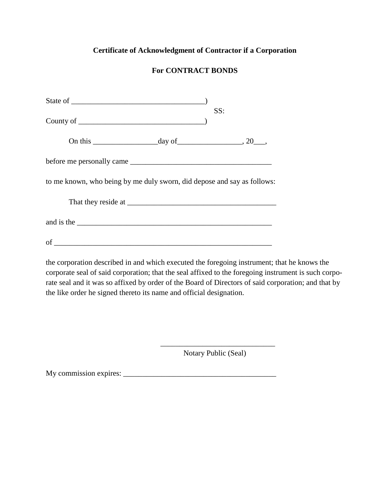# **Certificate of Acknowledgment of Contractor if a Corporation**

# **For CONTRACT BONDS**

|                                                                                                                                                                                                                                | SS: |  |
|--------------------------------------------------------------------------------------------------------------------------------------------------------------------------------------------------------------------------------|-----|--|
| On this $\_\_\_\_$ day of $\_\_\_\_$ , 20 $\_\_\_\_$                                                                                                                                                                           |     |  |
|                                                                                                                                                                                                                                |     |  |
| to me known, who being by me duly sworn, did depose and say as follows:                                                                                                                                                        |     |  |
|                                                                                                                                                                                                                                |     |  |
| and is the set of the set of the set of the set of the set of the set of the set of the set of the set of the set of the set of the set of the set of the set of the set of the set of the set of the set of the set of the se |     |  |
|                                                                                                                                                                                                                                |     |  |

the corporation described in and which executed the foregoing instrument; that he knows the corporate seal of said corporation; that the seal affixed to the foregoing instrument is such corporate seal and it was so affixed by order of the Board of Directors of said corporation; and that by the like order he signed thereto its name and official designation.

> \_\_\_\_\_\_\_\_\_\_\_\_\_\_\_\_\_\_\_\_\_\_\_\_\_\_\_\_\_\_ Notary Public (Seal)

My commission expires: \_\_\_\_\_\_\_\_\_\_\_\_\_\_\_\_\_\_\_\_\_\_\_\_\_\_\_\_\_\_\_\_\_\_\_\_\_\_\_\_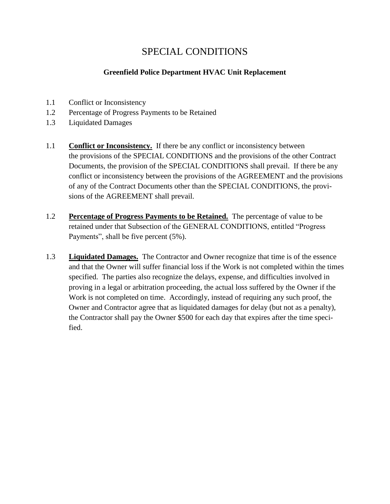# SPECIAL CONDITIONS

# **Greenfield Police Department HVAC Unit Replacement**

- <span id="page-28-0"></span>1.1 Conflict or Inconsistency
- 1.2 Percentage of Progress Payments to be Retained
- 1.3 Liquidated Damages
- 1.1 **Conflict or Inconsistency.** If there be any conflict or inconsistency between the provisions of the SPECIAL CONDITIONS and the provisions of the other Contract Documents, the provision of the SPECIAL CONDITIONS shall prevail. If there be any conflict or inconsistency between the provisions of the AGREEMENT and the provisions of any of the Contract Documents other than the SPECIAL CONDITIONS, the provisions of the AGREEMENT shall prevail.
- 1.2 **Percentage of Progress Payments to be Retained.** The percentage of value to be retained under that Subsection of the GENERAL CONDITIONS, entitled "Progress Payments", shall be five percent (5%).
- 1.3 **Liquidated Damages.** The Contractor and Owner recognize that time is of the essence and that the Owner will suffer financial loss if the Work is not completed within the times specified. The parties also recognize the delays, expense, and difficulties involved in proving in a legal or arbitration proceeding, the actual loss suffered by the Owner if the Work is not completed on time. Accordingly, instead of requiring any such proof, the Owner and Contractor agree that as liquidated damages for delay (but not as a penalty), the Contractor shall pay the Owner \$500 for each day that expires after the time specified.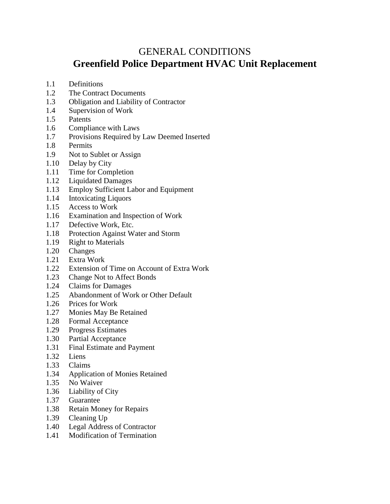# <span id="page-29-0"></span>GENERAL CONDITIONS **Greenfield Police Department HVAC Unit Replacement**

- 1.1 Definitions
- 1.2 The Contract Documents
- 1.3 Obligation and Liability of Contractor
- 1.4 Supervision of Work
- 1.5 Patents
- 1.6 Compliance with Laws
- 1.7 Provisions Required by Law Deemed Inserted
- 1.8 Permits
- 1.9 Not to Sublet or Assign
- 1.10 Delay by City
- 1.11 Time for Completion
- 1.12 Liquidated Damages
- 1.13 Employ Sufficient Labor and Equipment
- 1.14 Intoxicating Liquors
- 1.15 Access to Work
- 1.16 Examination and Inspection of Work
- 1.17 Defective Work, Etc.
- 1.18 Protection Against Water and Storm
- 1.19 Right to Materials
- 1.20 Changes
- 1.21 Extra Work
- 1.22 Extension of Time on Account of Extra Work
- 1.23 Change Not to Affect Bonds
- 1.24 Claims for Damages
- 1.25 Abandonment of Work or Other Default
- 1.26 Prices for Work
- 1.27 Monies May Be Retained
- 1.28 Formal Acceptance
- 1.29 Progress Estimates
- 1.30 Partial Acceptance
- 1.31 Final Estimate and Payment
- 1.32 Liens
- 1.33 Claims
- 1.34 Application of Monies Retained
- 1.35 No Waiver
- 1.36 Liability of City
- 1.37 Guarantee
- 1.38 Retain Money for Repairs
- 1.39 Cleaning Up
- 1.40 Legal Address of Contractor
- 1.41 Modification of Termination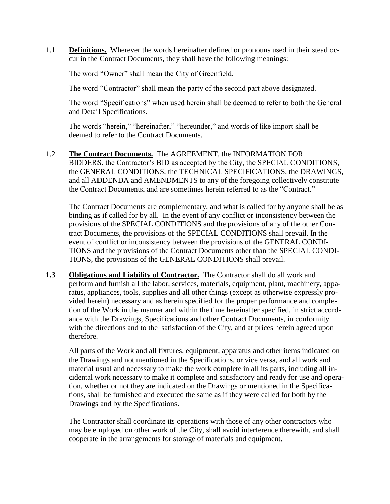1.1 **Definitions.** Wherever the words hereinafter defined or pronouns used in their stead occur in the Contract Documents, they shall have the following meanings:

The word "Owner" shall mean the City of Greenfield.

The word "Contractor" shall mean the party of the second part above designated.

The word "Specifications" when used herein shall be deemed to refer to both the General and Detail Specifications.

The words "herein," "hereinafter," "hereunder," and words of like import shall be deemed to refer to the Contract Documents.

1.2 **The Contract Documents.** The AGREEMENT, the INFORMATION FOR BIDDERS, the Contractor's BID as accepted by the City, the SPECIAL CONDITIONS, the GENERAL CONDITIONS, the TECHNICAL SPECIFICATIONS, the DRAWINGS, and all ADDENDA and AMENDMENTS to any of the foregoing collectively constitute the Contract Documents, and are sometimes herein referred to as the "Contract."

The Contract Documents are complementary, and what is called for by anyone shall be as binding as if called for by all. In the event of any conflict or inconsistency between the provisions of the SPECIAL CONDITIONS and the provisions of any of the other Contract Documents, the provisions of the SPECIAL CONDITIONS shall prevail. In the event of conflict or inconsistency between the provisions of the GENERAL CONDI-TIONS and the provisions of the Contract Documents other than the SPECIAL CONDI-TIONS, the provisions of the GENERAL CONDITIONS shall prevail.

**1.3 Obligations and Liability of Contractor.** The Contractor shall do all work and perform and furnish all the labor, services, materials, equipment, plant, machinery, apparatus, appliances, tools, supplies and all other things (except as otherwise expressly provided herein) necessary and as herein specified for the proper performance and completion of the Work in the manner and within the time hereinafter specified, in strict accordance with the Drawings, Specifications and other Contract Documents, in conformity with the directions and to the satisfaction of the City, and at prices herein agreed upon therefore.

All parts of the Work and all fixtures, equipment, apparatus and other items indicated on the Drawings and not mentioned in the Specifications, or vice versa, and all work and material usual and necessary to make the work complete in all its parts, including all incidental work necessary to make it complete and satisfactory and ready for use and operation, whether or not they are indicated on the Drawings or mentioned in the Specifications, shall be furnished and executed the same as if they were called for both by the Drawings and by the Specifications.

The Contractor shall coordinate its operations with those of any other contractors who may be employed on other work of the City, shall avoid interference therewith, and shall cooperate in the arrangements for storage of materials and equipment.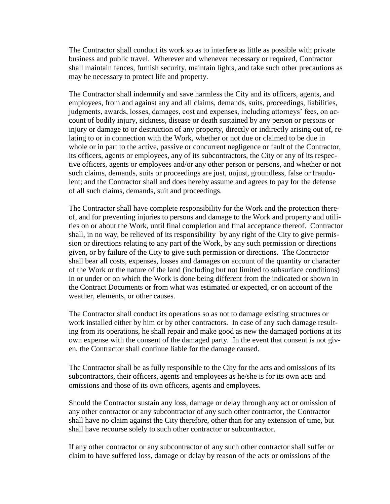The Contractor shall conduct its work so as to interfere as little as possible with private business and public travel. Wherever and whenever necessary or required, Contractor shall maintain fences, furnish security, maintain lights, and take such other precautions as may be necessary to protect life and property.

The Contractor shall indemnify and save harmless the City and its officers, agents, and employees, from and against any and all claims, demands, suits, proceedings, liabilities, judgments, awards, losses, damages, cost and expenses, including attorneys' fees, on account of bodily injury, sickness, disease or death sustained by any person or persons or injury or damage to or destruction of any property, directly or indirectly arising out of, relating to or in connection with the Work, whether or not due or claimed to be due in whole or in part to the active, passive or concurrent negligence or fault of the Contractor, its officers, agents or employees, any of its subcontractors, the City or any of its respective officers, agents or employees and/or any other person or persons, and whether or not such claims, demands, suits or proceedings are just, unjust, groundless, false or fraudulent; and the Contractor shall and does hereby assume and agrees to pay for the defense of all such claims, demands, suit and proceedings.

The Contractor shall have complete responsibility for the Work and the protection thereof, and for preventing injuries to persons and damage to the Work and property and utilities on or about the Work, until final completion and final acceptance thereof. Contractor shall, in no way, be relieved of its responsibility by any right of the City to give permission or directions relating to any part of the Work, by any such permission or directions given, or by failure of the City to give such permission or directions. The Contractor shall bear all costs, expenses, losses and damages on account of the quantity or character of the Work or the nature of the land (including but not limited to subsurface conditions) in or under or on which the Work is done being different from the indicated or shown in the Contract Documents or from what was estimated or expected, or on account of the weather, elements, or other causes.

The Contractor shall conduct its operations so as not to damage existing structures or work installed either by him or by other contractors. In case of any such damage resulting from its operations, he shall repair and make good as new the damaged portions at its own expense with the consent of the damaged party. In the event that consent is not given, the Contractor shall continue liable for the damage caused.

The Contractor shall be as fully responsible to the City for the acts and omissions of its subcontractors, their officers, agents and employees as he/she is for its own acts and omissions and those of its own officers, agents and employees.

Should the Contractor sustain any loss, damage or delay through any act or omission of any other contractor or any subcontractor of any such other contractor, the Contractor shall have no claim against the City therefore, other than for any extension of time, but shall have recourse solely to such other contractor or subcontractor.

If any other contractor or any subcontractor of any such other contractor shall suffer or claim to have suffered loss, damage or delay by reason of the acts or omissions of the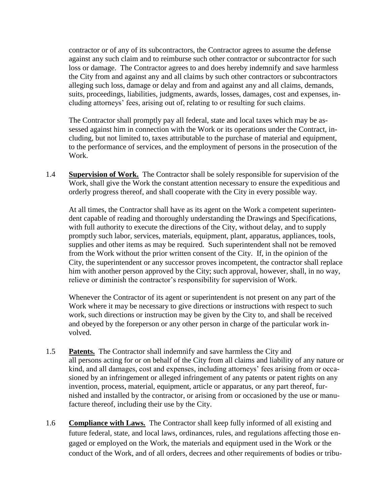contractor or of any of its subcontractors, the Contractor agrees to assume the defense against any such claim and to reimburse such other contractor or subcontractor for such loss or damage. The Contractor agrees to and does hereby indemnify and save harmless the City from and against any and all claims by such other contractors or subcontractors alleging such loss, damage or delay and from and against any and all claims, demands, suits, proceedings, liabilities, judgments, awards, losses, damages, cost and expenses, including attorneys' fees, arising out of, relating to or resulting for such claims.

The Contractor shall promptly pay all federal, state and local taxes which may be assessed against him in connection with the Work or its operations under the Contract, including, but not limited to, taxes attributable to the purchase of material and equipment, to the performance of services, and the employment of persons in the prosecution of the Work.

1.4 **Supervision of Work.** The Contractor shall be solely responsible for supervision of the Work, shall give the Work the constant attention necessary to ensure the expeditious and orderly progress thereof, and shall cooperate with the City in every possible way.

At all times, the Contractor shall have as its agent on the Work a competent superintendent capable of reading and thoroughly understanding the Drawings and Specifications, with full authority to execute the directions of the City, without delay, and to supply promptly such labor, services, materials, equipment, plant, apparatus, appliances, tools, supplies and other items as may be required. Such superintendent shall not be removed from the Work without the prior written consent of the City. If, in the opinion of the City, the superintendent or any successor proves incompetent, the contractor shall replace him with another person approved by the City; such approval, however, shall, in no way, relieve or diminish the contractor's responsibility for supervision of Work.

Whenever the Contractor of its agent or superintendent is not present on any part of the Work where it may be necessary to give directions or instructions with respect to such work, such directions or instruction may be given by the City to, and shall be received and obeyed by the foreperson or any other person in charge of the particular work involved.

- 1.5 **Patents.** The Contractor shall indemnify and save harmless the City and all persons acting for or on behalf of the City from all claims and liability of any nature or kind, and all damages, cost and expenses, including attorneys' fees arising from or occasioned by an infringement or alleged infringement of any patents or patent rights on any invention, process, material, equipment, article or apparatus, or any part thereof, furnished and installed by the contractor, or arising from or occasioned by the use or manufacture thereof, including their use by the City.
- 1.6 **Compliance with Laws.** The Contractor shall keep fully informed of all existing and future federal, state, and local laws, ordinances, rules, and regulations affecting those engaged or employed on the Work, the materials and equipment used in the Work or the conduct of the Work, and of all orders, decrees and other requirements of bodies or tribu-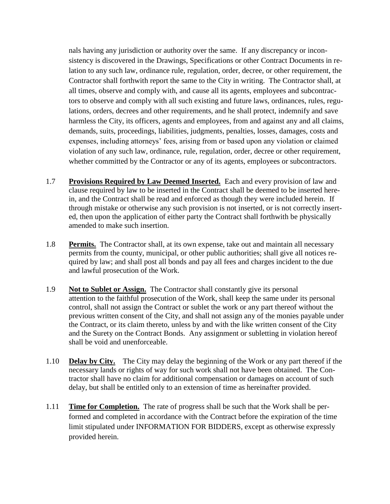nals having any jurisdiction or authority over the same. If any discrepancy or inconsistency is discovered in the Drawings, Specifications or other Contract Documents in relation to any such law, ordinance rule, regulation, order, decree, or other requirement, the Contractor shall forthwith report the same to the City in writing. The Contractor shall, at all times, observe and comply with, and cause all its agents, employees and subcontractors to observe and comply with all such existing and future laws, ordinances, rules, regulations, orders, decrees and other requirements, and he shall protect, indemnify and save harmless the City, its officers, agents and employees, from and against any and all claims, demands, suits, proceedings, liabilities, judgments, penalties, losses, damages, costs and expenses, including attorneys' fees, arising from or based upon any violation or claimed violation of any such law, ordinance, rule, regulation, order, decree or other requirement, whether committed by the Contractor or any of its agents, employees or subcontractors.

- 1.7 **Provisions Required by Law Deemed Inserted.** Each and every provision of law and clause required by law to be inserted in the Contract shall be deemed to be inserted herein, and the Contract shall be read and enforced as though they were included herein. If through mistake or otherwise any such provision is not inserted, or is not correctly inserted, then upon the application of either party the Contract shall forthwith be physically amended to make such insertion.
- 1.8 **Permits.** The Contractor shall, at its own expense, take out and maintain all necessary permits from the county, municipal, or other public authorities; shall give all notices required by law; and shall post all bonds and pay all fees and charges incident to the due and lawful prosecution of the Work.
- 1.9 **Not to Sublet or Assign.** The Contractor shall constantly give its personal attention to the faithful prosecution of the Work, shall keep the same under its personal control, shall not assign the Contract or sublet the work or any part thereof without the previous written consent of the City, and shall not assign any of the monies payable under the Contract, or its claim thereto, unless by and with the like written consent of the City and the Surety on the Contract Bonds. Any assignment or subletting in violation hereof shall be void and unenforceable.
- 1.10 **Delay by City.** The City may delay the beginning of the Work or any part thereof if the necessary lands or rights of way for such work shall not have been obtained. The Contractor shall have no claim for additional compensation or damages on account of such delay, but shall be entitled only to an extension of time as hereinafter provided.
- 1.11 **Time for Completion.** The rate of progress shall be such that the Work shall be performed and completed in accordance with the Contract before the expiration of the time limit stipulated under INFORMATION FOR BIDDERS, except as otherwise expressly provided herein.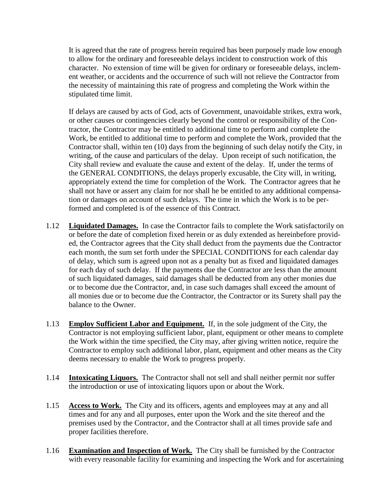It is agreed that the rate of progress herein required has been purposely made low enough to allow for the ordinary and foreseeable delays incident to construction work of this character. No extension of time will be given for ordinary or foreseeable delays, inclement weather, or accidents and the occurrence of such will not relieve the Contractor from the necessity of maintaining this rate of progress and completing the Work within the stipulated time limit.

If delays are caused by acts of God, acts of Government, unavoidable strikes, extra work, or other causes or contingencies clearly beyond the control or responsibility of the Contractor, the Contractor may be entitled to additional time to perform and complete the Work, be entitled to additional time to perform and complete the Work, provided that the Contractor shall, within ten (10) days from the beginning of such delay notify the City, in writing, of the cause and particulars of the delay. Upon receipt of such notification, the City shall review and evaluate the cause and extent of the delay. If, under the terms of the GENERAL CONDITIONS, the delays properly excusable, the City will, in writing, appropriately extend the time for completion of the Work. The Contractor agrees that he shall not have or assert any claim for nor shall he be entitled to any additional compensation or damages on account of such delays. The time in which the Work is to be performed and completed is of the essence of this Contract.

- 1.12 **Liquidated Damages.** In case the Contractor fails to complete the Work satisfactorily on or before the date of completion fixed herein or as duly extended as hereinbefore provided, the Contractor agrees that the City shall deduct from the payments due the Contractor each month, the sum set forth under the SPECIAL CONDITIONS for each calendar day of delay, which sum is agreed upon not as a penalty but as fixed and liquidated damages for each day of such delay. If the payments due the Contractor are less than the amount of such liquidated damages, said damages shall be deducted from any other monies due or to become due the Contractor, and, in case such damages shall exceed the amount of all monies due or to become due the Contractor, the Contractor or its Surety shall pay the balance to the Owner.
- 1.13 **Employ Sufficient Labor and Equipment.** If, in the sole judgment of the City, the Contractor is not employing sufficient labor, plant, equipment or other means to complete the Work within the time specified, the City may, after giving written notice, require the Contractor to employ such additional labor, plant, equipment and other means as the City deems necessary to enable the Work to progress properly.
- 1.14 **Intoxicating Liquors.** The Contractor shall not sell and shall neither permit nor suffer the introduction or use of intoxicating liquors upon or about the Work.
- 1.15 **Access to Work.** The City and its officers, agents and employees may at any and all times and for any and all purposes, enter upon the Work and the site thereof and the premises used by the Contractor, and the Contractor shall at all times provide safe and proper facilities therefore.
- 1.16 **Examination and Inspection of Work.** The City shall be furnished by the Contractor with every reasonable facility for examining and inspecting the Work and for ascertaining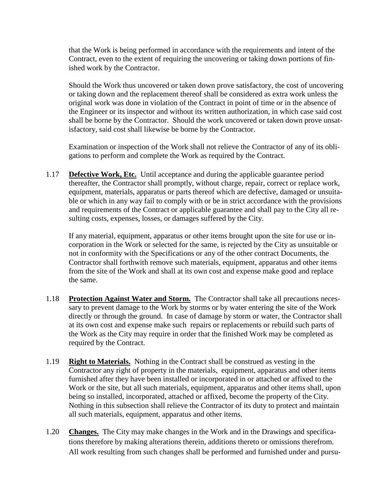that the Work is being performed in accordance with the requirements and intent of the Contract, even to the extent of requiring the uncovering or taking down portions of finished work by the Contractor.

Should the Work thus uncovered or taken down prove satisfactory, the cost of uncovering or taking down and the replacement thereof shall be considered as extra work unless the original work was done in violation of the Contract in point of time or in the absence of the Engineer or its inspector and without its written authorization, in which case said cost shall be borne by the Contractor. Should the work uncovered or taken down prove unsatisfactory, said cost shall likewise be borne by the Contractor.

Examination or inspection of the Work shall not relieve the Contractor of any of its obligations to perform and complete the Work as required by the Contract.

1.17 **Defective Work, Etc.** Until acceptance and during the applicable guarantee period thereafter, the Contractor shall promptly, without charge, repair, correct or replace work, equipment, materials, apparatus or parts thereof which are defective, damaged or unsuitable or which in any way fail to comply with or be in strict accordance with the provisions and requirements of the Contract or applicable guarantee and shall pay to the City all resulting costs, expenses, losses, or damages suffered by the City.

If any material, equipment, apparatus or other items brought upon the site for use or incorporation in the Work or selected for the same, is rejected by the City as unsuitable or not in conformity with the Specifications or any of the other contract Documents, the Contractor shall forthwith remove such materials, equipment, apparatus and other items from the site of the Work and shall at its own cost and expense make good and replace the same.

- 1.18 **Protection Against Water and Storm.** The Contractor shall take all precautions necessary to prevent damage to the Work by storms or by water entering the site of the Work directly or through the ground. In case of damage by storm or water, the Contractor shall at its own cost and expense make such repairs or replacements or rebuild such parts of the Work as the City may require in order that the finished Work may be completed as required by the Contract.
- 1.19 **Right to Materials.** Nothing in the Contract shall be construed as vesting in the Contractor any right of property in the materials, equipment, apparatus and other items furnished after they have been installed or incorporated in or attached or affixed to the Work or the site, but all such materials, equipment, apparatus and other items shall, upon being so installed, incorporated, attached or affixed, become the property of the City. Nothing in this subsection shall relieve the Contractor of its duty to protect and maintain all such materials, equipment, apparatus and other items.
- 1.20 **Changes.** The City may make changes in the Work and in the Drawings and specifications therefore by making alterations therein, additions thereto or omissions therefrom. All work resulting from such changes shall be performed and furnished under and pursu-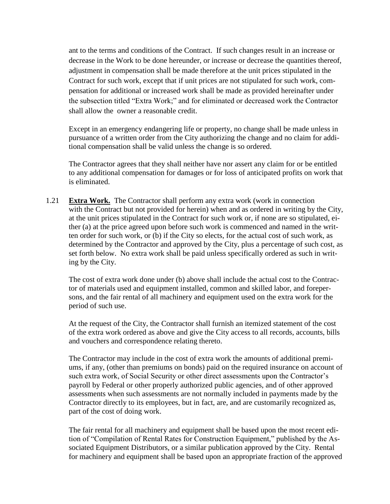ant to the terms and conditions of the Contract. If such changes result in an increase or decrease in the Work to be done hereunder, or increase or decrease the quantities thereof, adjustment in compensation shall be made therefore at the unit prices stipulated in the Contract for such work, except that if unit prices are not stipulated for such work, compensation for additional or increased work shall be made as provided hereinafter under the subsection titled "Extra Work;" and for eliminated or decreased work the Contractor shall allow the owner a reasonable credit.

Except in an emergency endangering life or property, no change shall be made unless in pursuance of a written order from the City authorizing the change and no claim for additional compensation shall be valid unless the change is so ordered.

The Contractor agrees that they shall neither have nor assert any claim for or be entitled to any additional compensation for damages or for loss of anticipated profits on work that is eliminated.

1.21 **Extra Work.** The Contractor shall perform any extra work (work in connection with the Contract but not provided for herein) when and as ordered in writing by the City, at the unit prices stipulated in the Contract for such work or, if none are so stipulated, either (a) at the price agreed upon before such work is commenced and named in the written order for such work, or (b) if the City so elects, for the actual cost of such work, as determined by the Contractor and approved by the City, plus a percentage of such cost, as set forth below. No extra work shall be paid unless specifically ordered as such in writing by the City.

The cost of extra work done under (b) above shall include the actual cost to the Contractor of materials used and equipment installed, common and skilled labor, and forepersons, and the fair rental of all machinery and equipment used on the extra work for the period of such use.

At the request of the City, the Contractor shall furnish an itemized statement of the cost of the extra work ordered as above and give the City access to all records, accounts, bills and vouchers and correspondence relating thereto.

The Contractor may include in the cost of extra work the amounts of additional premiums, if any, (other than premiums on bonds) paid on the required insurance on account of such extra work, of Social Security or other direct assessments upon the Contractor's payroll by Federal or other properly authorized public agencies, and of other approved assessments when such assessments are not normally included in payments made by the Contractor directly to its employees, but in fact, are, and are customarily recognized as, part of the cost of doing work.

The fair rental for all machinery and equipment shall be based upon the most recent edition of "Compilation of Rental Rates for Construction Equipment," published by the Associated Equipment Distributors, or a similar publication approved by the City. Rental for machinery and equipment shall be based upon an appropriate fraction of the approved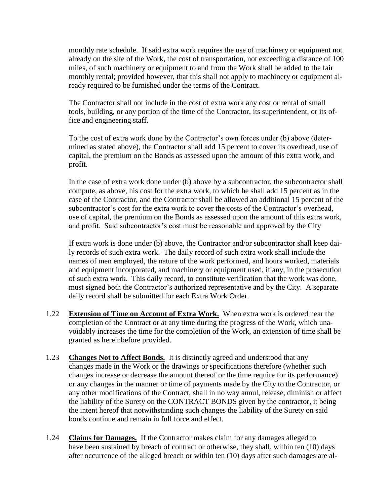monthly rate schedule. If said extra work requires the use of machinery or equipment not already on the site of the Work, the cost of transportation, not exceeding a distance of 100 miles, of such machinery or equipment to and from the Work shall be added to the fair monthly rental; provided however, that this shall not apply to machinery or equipment already required to be furnished under the terms of the Contract.

The Contractor shall not include in the cost of extra work any cost or rental of small tools, building, or any portion of the time of the Contractor, its superintendent, or its office and engineering staff.

To the cost of extra work done by the Contractor's own forces under (b) above (determined as stated above), the Contractor shall add 15 percent to cover its overhead, use of capital, the premium on the Bonds as assessed upon the amount of this extra work, and profit.

In the case of extra work done under (b) above by a subcontractor, the subcontractor shall compute, as above, his cost for the extra work, to which he shall add 15 percent as in the case of the Contractor, and the Contractor shall be allowed an additional 15 percent of the subcontractor's cost for the extra work to cover the costs of the Contractor's overhead, use of capital, the premium on the Bonds as assessed upon the amount of this extra work, and profit. Said subcontractor's cost must be reasonable and approved by the City

If extra work is done under (b) above, the Contractor and/or subcontractor shall keep daily records of such extra work. The daily record of such extra work shall include the names of men employed, the nature of the work performed, and hours worked, materials and equipment incorporated, and machinery or equipment used, if any, in the prosecution of such extra work. This daily record, to constitute verification that the work was done, must signed both the Contractor's authorized representative and by the City. A separate daily record shall be submitted for each Extra Work Order.

- 1.22 **Extension of Time on Account of Extra Work.** When extra work is ordered near the completion of the Contract or at any time during the progress of the Work, which unavoidably increases the time for the completion of the Work, an extension of time shall be granted as hereinbefore provided.
- 1.23 **Changes Not to Affect Bonds.** It is distinctly agreed and understood that any changes made in the Work or the drawings or specifications therefore (whether such changes increase or decrease the amount thereof or the time require for its performance) or any changes in the manner or time of payments made by the City to the Contractor, or any other modifications of the Contract, shall in no way annul, release, diminish or affect the liability of the Surety on the CONTRACT BONDS given by the contractor, it being the intent hereof that notwithstanding such changes the liability of the Surety on said bonds continue and remain in full force and effect.
- 1.24 **Claims for Damages.** If the Contractor makes claim for any damages alleged to have been sustained by breach of contract or otherwise, they shall, within ten (10) days after occurrence of the alleged breach or within ten (10) days after such damages are al-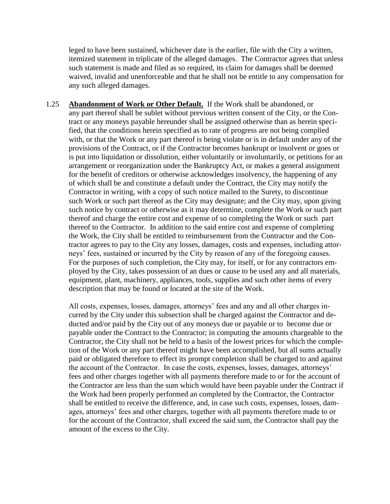leged to have been sustained, whichever date is the earlier, file with the City a written, itemized statement in triplicate of the alleged damages. The Contractor agrees that unless such statement is made and filed as so required, its claim for damages shall be deemed waived, invalid and unenforceable and that he shall not be entitle to any compensation for any such alleged damages.

1.25 **Abandonment of Work or Other Default.** If the Work shall be abandoned, or any part thereof shall be sublet without previous written consent of the City, or the Contract or any moneys payable hereunder shall be assigned otherwise than as herein specified, that the conditions herein specified as to rate of progress are not being complied with, or that the Work or any part thereof is being violate or is in default under any of the provisions of the Contract, or if the Contractor becomes bankrupt or insolvent or goes or is put into liquidation or dissolution, either voluntarily or involuntarily, or petitions for an arrangement or reorganization under the Bankruptcy Act, or makes a general assignment for the benefit of creditors or otherwise acknowledges insolvency, the happening of any of which shall be and constitute a default under the Contract, the City may notify the Contractor in writing, with a copy of such notice mailed to the Surety, to discontinue such Work or such part thereof as the City may designate; and the City may, upon giving such notice by contract or otherwise as it may determine, complete the Work or such part thereof and charge the entire cost and expense of so completing the Work or such part thereof to the Contractor. In addition to the said entire cost and expense of completing the Work, the City shall be entitled to reimbursement from the Contractor and the Contractor agrees to pay to the City any losses, damages, costs and expenses, including attorneys' fees, sustained or incurred by the City by reason of any of the foregoing causes. For the purposes of such completion, the City may, for itself, or for any contractors employed by the City, takes possession of an dues or cause to be used any and all materials, equipment, plant, machinery, appliances, tools, supplies and such other items of every description that may be found or located at the site of the Work.

All costs, expenses, losses, damages, attorneys' fees and any and all other charges incurred by the City under this subsection shall be charged against the Contractor and deducted and/or paid by the City out of any moneys due or payable or to become due or payable under the Contract to the Contractor; in computing the amounts chargeable to the Contractor, the City shall not be held to a basis of the lowest prices for which the completion of the Work or any part thereof might have been accomplished, but all sums actually paid or obligated therefore to effect its prompt completion shall be charged to and against the account of the Contractor. In case the costs, expenses, losses, damages, attorneys' fees and other charges together with all payments therefore made to or for the account of the Contractor are less than the sum which would have been payable under the Contract if the Work had been properly performed an completed by the Contractor, the Contractor shall be entitled to receive the difference, and, in case such costs, expenses, losses, damages, attorneys' fees and other charges, together with all payments therefore made to or for the account of the Contractor, shall exceed the said sum, the Contractor shall pay the amount of the excess to the City.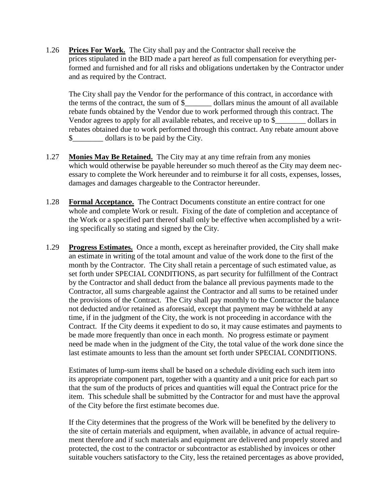1.26 **Prices For Work.** The City shall pay and the Contractor shall receive the prices stipulated in the BID made a part hereof as full compensation for everything performed and furnished and for all risks and obligations undertaken by the Contractor under and as required by the Contract.

The City shall pay the Vendor for the performance of this contract, in accordance with the terms of the contract, the sum of \$ dollars minus the amount of all available rebate funds obtained by the Vendor due to work performed through this contract. The Vendor agrees to apply for all available rebates, and receive up to \$\_\_\_\_\_\_\_\_\_\_ dollars in rebates obtained due to work performed through this contract. Any rebate amount above \$\_\_\_\_\_\_\_\_ dollars is to be paid by the City.

- 1.27 **Monies May Be Retained.** The City may at any time refrain from any monies which would otherwise be payable hereunder so much thereof as the City may deem necessary to complete the Work hereunder and to reimburse it for all costs, expenses, losses, damages and damages chargeable to the Contractor hereunder.
- 1.28 **Formal Acceptance.** The Contract Documents constitute an entire contract for one whole and complete Work or result. Fixing of the date of completion and acceptance of the Work or a specified part thereof shall only be effective when accomplished by a writing specifically so stating and signed by the City.
- 1.29 **Progress Estimates.** Once a month, except as hereinafter provided, the City shall make an estimate in writing of the total amount and value of the work done to the first of the month by the Contractor. The City shall retain a percentage of such estimated value, as set forth under SPECIAL CONDITIONS, as part security for fulfillment of the Contract by the Contractor and shall deduct from the balance all previous payments made to the Contractor, all sums chargeable against the Contractor and all sums to be retained under the provisions of the Contract. The City shall pay monthly to the Contractor the balance not deducted and/or retained as aforesaid, except that payment may be withheld at any time, if in the judgment of the City, the work is not proceeding in accordance with the Contract. If the City deems it expedient to do so, it may cause estimates and payments to be made more frequently than once in each month. No progress estimate or payment need be made when in the judgment of the City, the total value of the work done since the last estimate amounts to less than the amount set forth under SPECIAL CONDITIONS.

Estimates of lump-sum items shall be based on a schedule dividing each such item into its appropriate component part, together with a quantity and a unit price for each part so that the sum of the products of prices and quantities will equal the Contract price for the item. This schedule shall be submitted by the Contractor for and must have the approval of the City before the first estimate becomes due.

If the City determines that the progress of the Work will be benefited by the delivery to the site of certain materials and equipment, when available, in advance of actual requirement therefore and if such materials and equipment are delivered and properly stored and protected, the cost to the contractor or subcontractor as established by invoices or other suitable vouchers satisfactory to the City, less the retained percentages as above provided,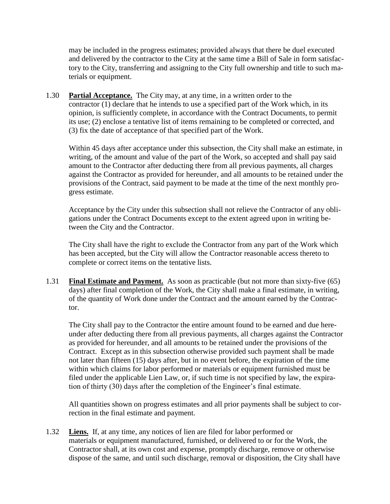may be included in the progress estimates; provided always that there be duel executed and delivered by the contractor to the City at the same time a Bill of Sale in form satisfactory to the City, transferring and assigning to the City full ownership and title to such materials or equipment.

1.30 **Partial Acceptance.** The City may, at any time, in a written order to the contractor (1) declare that he intends to use a specified part of the Work which, in its opinion, is sufficiently complete, in accordance with the Contract Documents, to permit its use; (2) enclose a tentative list of items remaining to be completed or corrected, and (3) fix the date of acceptance of that specified part of the Work.

Within 45 days after acceptance under this subsection, the City shall make an estimate, in writing, of the amount and value of the part of the Work, so accepted and shall pay said amount to the Contractor after deducting there from all previous payments, all charges against the Contractor as provided for hereunder, and all amounts to be retained under the provisions of the Contract, said payment to be made at the time of the next monthly progress estimate.

Acceptance by the City under this subsection shall not relieve the Contractor of any obligations under the Contract Documents except to the extent agreed upon in writing between the City and the Contractor.

The City shall have the right to exclude the Contractor from any part of the Work which has been accepted, but the City will allow the Contractor reasonable access thereto to complete or correct items on the tentative lists.

1.31 **Final Estimate and Payment.** As soon as practicable (but not more than sixty-five (65) days) after final completion of the Work, the City shall make a final estimate, in writing, of the quantity of Work done under the Contract and the amount earned by the Contractor.

The City shall pay to the Contractor the entire amount found to be earned and due hereunder after deducting there from all previous payments, all charges against the Contractor as provided for hereunder, and all amounts to be retained under the provisions of the Contract. Except as in this subsection otherwise provided such payment shall be made not later than fifteen (15) days after, but in no event before, the expiration of the time within which claims for labor performed or materials or equipment furnished must be filed under the applicable Lien Law, or, if such time is not specified by law, the expiration of thirty (30) days after the completion of the Engineer's final estimate.

All quantities shown on progress estimates and all prior payments shall be subject to correction in the final estimate and payment.

1.32 **Liens.** If, at any time, any notices of lien are filed for labor performed or materials or equipment manufactured, furnished, or delivered to or for the Work, the Contractor shall, at its own cost and expense, promptly discharge, remove or otherwise dispose of the same, and until such discharge, removal or disposition, the City shall have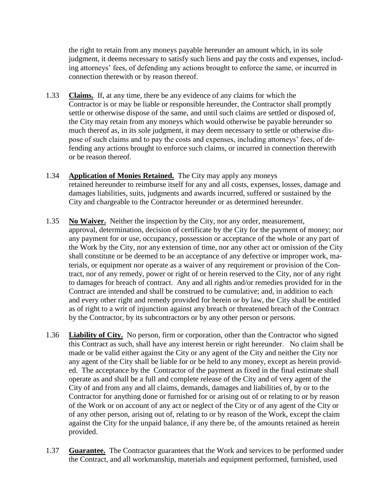the right to retain from any moneys payable hereunder an amount which, in its sole judgment, it deems necessary to satisfy such liens and pay the costs and expenses, including attorneys' fees, of defending any actions brought to enforce the same, or incurred in connection therewith or by reason thereof.

- 1.33 **Claims.** If, at any time, there be any evidence of any claims for which the Contractor is or may be liable or responsible hereunder, the Contractor shall promptly settle or otherwise dispose of the same, and until such claims are settled or disposed of, the City may retain from any moneys which would otherwise be payable hereunder so much thereof as, in its sole judgment, it may deem necessary to settle or otherwise dispose of such claims and to pay the costs and expenses, including attorneys' fees, of defending any actions brought to enforce such claims, or incurred in connection therewith or be reason thereof.
- 1.34 **Application of Monies Retained.** The City may apply any moneys retained hereunder to reimburse itself for any and all costs, expenses, losses, damage and damages liabilities, suits, judgments and awards incurred, suffered or sustained by the City and chargeable to the Contractor hereunder or as determined hereunder.
- 1.35 **No Waiver.** Neither the inspection by the City, nor any order, measurement, approval, determination, decision of certificate by the City for the payment of money; nor any payment for or use, occupancy, possession or acceptance of the whole or any part of the Work by the City, nor any extension of time, nor any other act or omission of the City shall constitute or be deemed to be an acceptance of any defective or improper work, materials, or equipment nor operate as a waiver of any requirement or provision of the Contract, nor of any remedy, power or right of or herein reserved to the City, nor of any right to damages for breach of contract. Any and all rights and/or remedies provided for in the Contract are intended and shall be construed to be cumulative; and, in addition to each and every other right and remedy provided for herein or by law, the City shall be entitled as of right to a writ of injunction against any breach or threatened breach of the Contract by the Contractor, by its subcontractors or by any other person or persons.
- 1.36 **Liability of City.** No person, firm or corporation, other than the Contractor who signed this Contract as such, shall have any interest herein or right hereunder. No claim shall be made or be valid either against the City or any agent of the City and neither the City nor any agent of the City shall be liable for or be held to any money, except as herein provided. The acceptance by the Contractor of the payment as fixed in the final estimate shall operate as and shall be a full and complete release of the City and of very agent of the City of and from any and all claims, demands, damages and liabilities of, by or to the Contractor for anything done or furnished for or arising out of or relating to or by reason of the Work or on account of any act or neglect of the City or of any agent of the City or of any other person, arising out of, relating to or by reason of the Work, except the claim against the City for the unpaid balance, if any there be, of the amounts retained as herein provided.
- 1.37 **Guarantee.** The Contractor guarantees that the Work and services to be performed under the Contract, and all workmanship, materials and equipment performed, furnished, used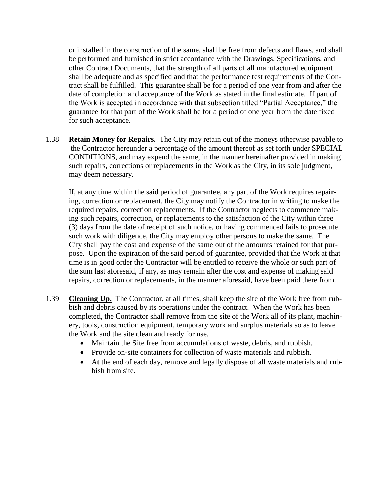or installed in the construction of the same, shall be free from defects and flaws, and shall be performed and furnished in strict accordance with the Drawings, Specifications, and other Contract Documents, that the strength of all parts of all manufactured equipment shall be adequate and as specified and that the performance test requirements of the Contract shall be fulfilled. This guarantee shall be for a period of one year from and after the date of completion and acceptance of the Work as stated in the final estimate. If part of the Work is accepted in accordance with that subsection titled "Partial Acceptance," the guarantee for that part of the Work shall be for a period of one year from the date fixed for such acceptance.

1.38 **Retain Money for Repairs.** The City may retain out of the moneys otherwise payable to the Contractor hereunder a percentage of the amount thereof as set forth under SPECIAL CONDITIONS, and may expend the same, in the manner hereinafter provided in making such repairs, corrections or replacements in the Work as the City, in its sole judgment, may deem necessary.

If, at any time within the said period of guarantee, any part of the Work requires repairing, correction or replacement, the City may notify the Contractor in writing to make the required repairs, correction replacements. If the Contractor neglects to commence making such repairs, correction, or replacements to the satisfaction of the City within three (3) days from the date of receipt of such notice, or having commenced fails to prosecute such work with diligence, the City may employ other persons to make the same. The City shall pay the cost and expense of the same out of the amounts retained for that purpose. Upon the expiration of the said period of guarantee, provided that the Work at that time is in good order the Contractor will be entitled to receive the whole or such part of the sum last aforesaid, if any, as may remain after the cost and expense of making said repairs, correction or replacements, in the manner aforesaid, have been paid there from.

- 1.39 **Cleaning Up.** The Contractor, at all times, shall keep the site of the Work free from rubbish and debris caused by its operations under the contract. When the Work has been completed, the Contractor shall remove from the site of the Work all of its plant, machinery, tools, construction equipment, temporary work and surplus materials so as to leave the Work and the site clean and ready for use.
	- Maintain the Site free from accumulations of waste, debris, and rubbish.
	- Provide on-site containers for collection of waste materials and rubbish.
	- At the end of each day, remove and legally dispose of all waste materials and rubbish from site.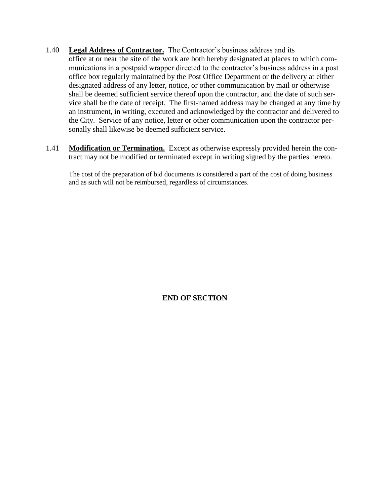- 1.40 **Legal Address of Contractor.** The Contractor's business address and its office at or near the site of the work are both hereby designated at places to which communications in a postpaid wrapper directed to the contractor's business address in a post office box regularly maintained by the Post Office Department or the delivery at either designated address of any letter, notice, or other communication by mail or otherwise shall be deemed sufficient service thereof upon the contractor, and the date of such service shall be the date of receipt. The first-named address may be changed at any time by an instrument, in writing, executed and acknowledged by the contractor and delivered to the City. Service of any notice, letter or other communication upon the contractor personally shall likewise be deemed sufficient service.
- 1.41 **Modification or Termination.** Except as otherwise expressly provided herein the contract may not be modified or terminated except in writing signed by the parties hereto.

The cost of the preparation of bid documents is considered a part of the cost of doing business and as such will not be reimbursed, regardless of circumstances.

**END OF SECTION**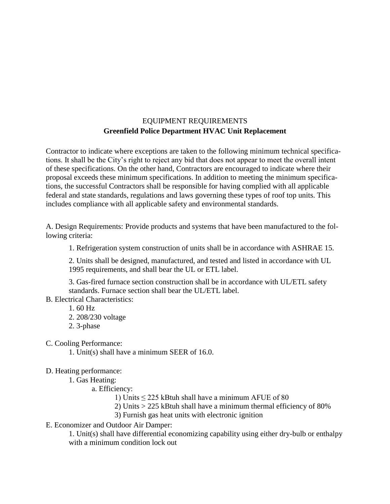# EQUIPMENT REQUIREMENTS **Greenfield Police Department HVAC Unit Replacement**

Contractor to indicate where exceptions are taken to the following minimum technical specifications. It shall be the City's right to reject any bid that does not appear to meet the overall intent of these specifications. On the other hand, Contractors are encouraged to indicate where their proposal exceeds these minimum specifications. In addition to meeting the minimum specifications, the successful Contractors shall be responsible for having complied with all applicable federal and state standards, regulations and laws governing these types of roof top units. This includes compliance with all applicable safety and environmental standards.

A. Design Requirements: Provide products and systems that have been manufactured to the following criteria:

1. Refrigeration system construction of units shall be in accordance with ASHRAE 15.

2. Units shall be designed, manufactured, and tested and listed in accordance with UL 1995 requirements, and shall bear the UL or ETL label.

3. Gas-fired furnace section construction shall be in accordance with UL/ETL safety standards. Furnace section shall bear the UL/ETL label.

B. Electrical Characteristics:

- 1. 60 Hz
- 2. 208/230 voltage
- 2. 3-phase

C. Cooling Performance:

1. Unit(s) shall have a minimum SEER of 16.0.

D. Heating performance:

1. Gas Heating:

a. Efficiency:

1) Units  $\leq$  225 kBtuh shall have a minimum AFUE of 80

2) Units > 225 kBtuh shall have a minimum thermal efficiency of 80%

3) Furnish gas heat units with electronic ignition

E. Economizer and Outdoor Air Damper:

1. Unit(s) shall have differential economizing capability using either dry-bulb or enthalpy with a minimum condition lock out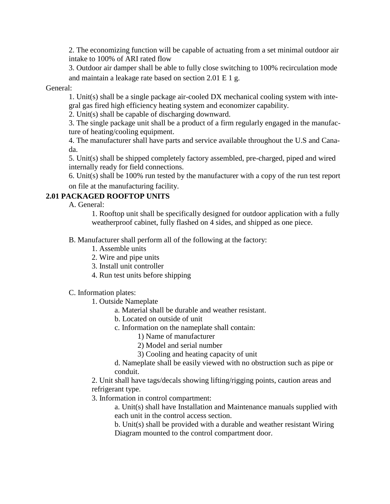2. The economizing function will be capable of actuating from a set minimal outdoor air intake to 100% of ARI rated flow

3. Outdoor air damper shall be able to fully close switching to 100% recirculation mode and maintain a leakage rate based on section 2.01 E 1 g.

General:

1. Unit(s) shall be a single package air-cooled DX mechanical cooling system with integral gas fired high efficiency heating system and economizer capability.

2. Unit(s) shall be capable of discharging downward.

3. The single package unit shall be a product of a firm regularly engaged in the manufacture of heating/cooling equipment.

4. The manufacturer shall have parts and service available throughout the U.S and Canada.

5. Unit(s) shall be shipped completely factory assembled, pre-charged, piped and wired internally ready for field connections.

6. Unit(s) shall be 100% run tested by the manufacturer with a copy of the run test report on file at the manufacturing facility.

# **2.01 PACKAGED ROOFTOP UNITS**

A. General:

1. Rooftop unit shall be specifically designed for outdoor application with a fully weatherproof cabinet, fully flashed on 4 sides, and shipped as one piece.

- B. Manufacturer shall perform all of the following at the factory:
	- 1. Assemble units
	- 2. Wire and pipe units
	- 3. Install unit controller
	- 4. Run test units before shipping

C. Information plates:

- 1. Outside Nameplate
	- a. Material shall be durable and weather resistant.
	- b. Located on outside of unit
	- c. Information on the nameplate shall contain:
		- 1) Name of manufacturer
		- 2) Model and serial number
		- 3) Cooling and heating capacity of unit

d. Nameplate shall be easily viewed with no obstruction such as pipe or conduit.

2. Unit shall have tags/decals showing lifting/rigging points, caution areas and refrigerant type.

3. Information in control compartment:

a. Unit(s) shall have Installation and Maintenance manuals supplied with each unit in the control access section.

b. Unit(s) shall be provided with a durable and weather resistant Wiring Diagram mounted to the control compartment door.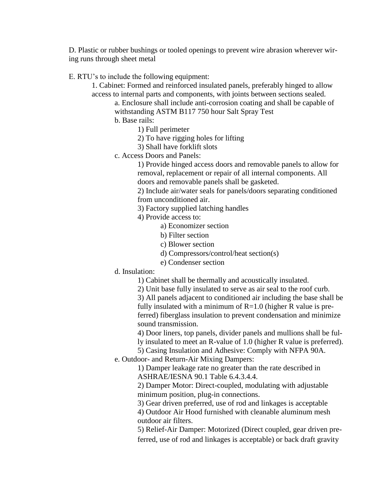D. Plastic or rubber bushings or tooled openings to prevent wire abrasion wherever wiring runs through sheet metal

E. RTU's to include the following equipment:

1. Cabinet: Formed and reinforced insulated panels, preferably hinged to allow access to internal parts and components, with joints between sections sealed.

a. Enclosure shall include anti-corrosion coating and shall be capable of withstanding ASTM B117 750 hour Salt Spray Test

b. Base rails:

1) Full perimeter

2) To have rigging holes for lifting

3) Shall have forklift slots

c. Access Doors and Panels:

1) Provide hinged access doors and removable panels to allow for removal, replacement or repair of all internal components. All doors and removable panels shall be gasketed.

2) Include air/water seals for panels/doors separating conditioned from unconditioned air.

3) Factory supplied latching handles

4) Provide access to:

a) Economizer section

b) Filter section

- c) Blower section
- d) Compressors/control/heat section(s)
- e) Condenser section
- d. Insulation:

1) Cabinet shall be thermally and acoustically insulated.

2) Unit base fully insulated to serve as air seal to the roof curb.

3) All panels adjacent to conditioned air including the base shall be fully insulated with a minimum of  $R=1.0$  (higher R value is preferred) fiberglass insulation to prevent condensation and minimize sound transmission.

4) Door liners, top panels, divider panels and mullions shall be ful-

- ly insulated to meet an R-value of 1.0 (higher R value is preferred).
- 5) Casing Insulation and Adhesive: Comply with NFPA 90A.
- e. Outdoor- and Return-Air Mixing Dampers:

1) Damper leakage rate no greater than the rate described in ASHRAE/IESNA 90.1 Table 6.4.3.4.4.

2) Damper Motor: Direct-coupled, modulating with adjustable minimum position, plug-in connections.

3) Gear driven preferred, use of rod and linkages is acceptable

4) Outdoor Air Hood furnished with cleanable aluminum mesh outdoor air filters.

5) Relief-Air Damper: Motorized (Direct coupled, gear driven preferred, use of rod and linkages is acceptable) or back draft gravity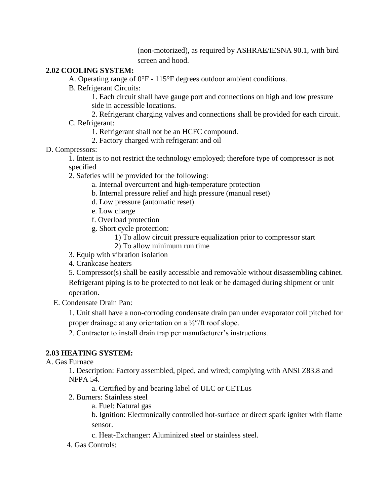(non-motorized), as required by ASHRAE/IESNA 90.1, with bird screen and hood.

## **2.02 COOLING SYSTEM:**

A. Operating range of 0°F - 115°F degrees outdoor ambient conditions.

B. Refrigerant Circuits:

1. Each circuit shall have gauge port and connections on high and low pressure side in accessible locations.

2. Refrigerant charging valves and connections shall be provided for each circuit. C. Refrigerant:

1. Refrigerant shall not be an HCFC compound.

2. Factory charged with refrigerant and oil

## D. Compressors:

1. Intent is to not restrict the technology employed; therefore type of compressor is not specified

2. Safeties will be provided for the following:

a. Internal overcurrent and high-temperature protection

- b. Internal pressure relief and high pressure (manual reset)
- d. Low pressure (automatic reset)
- e. Low charge
- f. Overload protection
- g. Short cycle protection:
	- 1) To allow circuit pressure equalization prior to compressor start
	- 2) To allow minimum run time
- 3. Equip with vibration isolation
- 4. Crankcase heaters

5. Compressor(s) shall be easily accessible and removable without disassembling cabinet.

Refrigerant piping is to be protected to not leak or be damaged during shipment or unit operation.

E. Condensate Drain Pan:

1. Unit shall have a non-corroding condensate drain pan under evaporator coil pitched for proper drainage at any orientation on a ¼"/ft roof slope.

2. Contractor to install drain trap per manufacturer's instructions.

## **2.03 HEATING SYSTEM:**

A. Gas Furnace

1. Description: Factory assembled, piped, and wired; complying with ANSI Z83.8 and NFPA 54.

a. Certified by and bearing label of ULC or CETLus

- 2. Burners: Stainless steel
	- a. Fuel: Natural gas

b. Ignition: Electronically controlled hot-surface or direct spark igniter with flame sensor.

- c. Heat-Exchanger: Aluminized steel or stainless steel.
- 4. Gas Controls: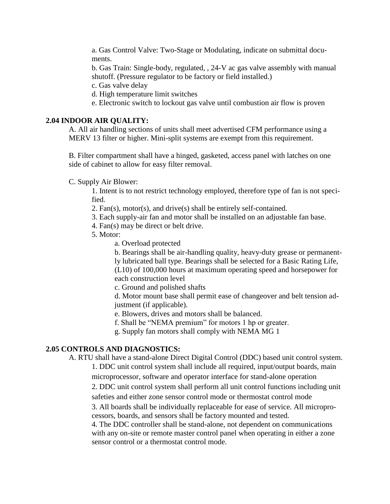a. Gas Control Valve: Two-Stage or Modulating, indicate on submittal documents.

b. Gas Train: Single-body, regulated, , 24-V ac gas valve assembly with manual shutoff. (Pressure regulator to be factory or field installed.)

c. Gas valve delay

d. High temperature limit switches

e. Electronic switch to lockout gas valve until combustion air flow is proven

#### **2.04 INDOOR AIR QUALITY:**

A. All air handling sections of units shall meet advertised CFM performance using a MERV 13 filter or higher. Mini-split systems are exempt from this requirement.

B. Filter compartment shall have a hinged, gasketed, access panel with latches on one side of cabinet to allow for easy filter removal.

C. Supply Air Blower:

1. Intent is to not restrict technology employed, therefore type of fan is not specified.

2. Fan(s), motor(s), and drive(s) shall be entirely self-contained.

3. Each supply-air fan and motor shall be installed on an adjustable fan base.

4. Fan(s) may be direct or belt drive.

5. Motor:

a. Overload protected

b. Bearings shall be air-handling quality, heavy-duty grease or permanently lubricated ball type. Bearings shall be selected for a Basic Rating Life, (L10) of 100,000 hours at maximum operating speed and horsepower for each construction level

c. Ground and polished shafts

d. Motor mount base shall permit ease of changeover and belt tension adjustment (if applicable).

e. Blowers, drives and motors shall be balanced.

f. Shall be "NEMA premium" for motors 1 hp or greater.

g. Supply fan motors shall comply with NEMA MG 1

#### **2.05 CONTROLS AND DIAGNOSTICS:**

A. RTU shall have a stand-alone Direct Digital Control (DDC) based unit control system.

1. DDC unit control system shall include all required, input/output boards, main microprocessor, software and operator interface for stand-alone operation

2. DDC unit control system shall perform all unit control functions including unit safeties and either zone sensor control mode or thermostat control mode

3. All boards shall be individually replaceable for ease of service. All microprocessors, boards, and sensors shall be factory mounted and tested.

4. The DDC controller shall be stand-alone, not dependent on communications with any on-site or remote master control panel when operating in either a zone sensor control or a thermostat control mode.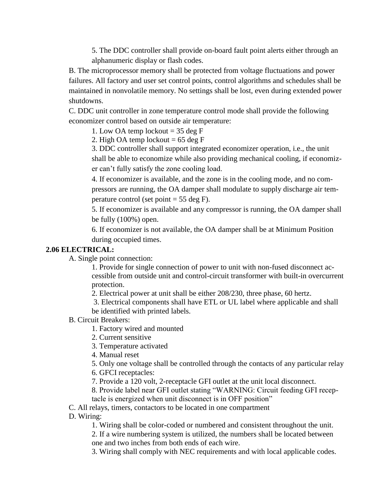5. The DDC controller shall provide on-board fault point alerts either through an alphanumeric display or flash codes.

B. The microprocessor memory shall be protected from voltage fluctuations and power failures. All factory and user set control points, control algorithms and schedules shall be maintained in nonvolatile memory. No settings shall be lost, even during extended power shutdowns.

C. DDC unit controller in zone temperature control mode shall provide the following economizer control based on outside air temperature:

1. Low OA temp lockout  $= 35$  deg F

2. High OA temp lockout  $= 65 \deg F$ 

3. DDC controller shall support integrated economizer operation, i.e., the unit shall be able to economize while also providing mechanical cooling, if economizer can't fully satisfy the zone cooling load.

4. If economizer is available, and the zone is in the cooling mode, and no compressors are running, the OA damper shall modulate to supply discharge air temperature control (set point  $= 55$  deg F).

5. If economizer is available and any compressor is running, the OA damper shall be fully (100%) open.

6. If economizer is not available, the OA damper shall be at Minimum Position during occupied times.

#### **2.06 ELECTRICAL:**

A. Single point connection:

1. Provide for single connection of power to unit with non-fused disconnect accessible from outside unit and control-circuit transformer with built-in overcurrent protection.

2. Electrical power at unit shall be either 208/230, three phase, 60 hertz.

3. Electrical components shall have ETL or UL label where applicable and shall be identified with printed labels.

B. Circuit Breakers:

1. Factory wired and mounted

- 2. Current sensitive
- 3. Temperature activated

4. Manual reset

5. Only one voltage shall be controlled through the contacts of any particular relay

6. GFCI receptacles:

7. Provide a 120 volt, 2-receptacle GFI outlet at the unit local disconnect.

8. Provide label near GFI outlet stating "WARNING: Circuit feeding GFI receptacle is energized when unit disconnect is in OFF position"

C. All relays, timers, contactors to be located in one compartment

D. Wiring:

1. Wiring shall be color-coded or numbered and consistent throughout the unit.

2. If a wire numbering system is utilized, the numbers shall be located between one and two inches from both ends of each wire.

3. Wiring shall comply with NEC requirements and with local applicable codes.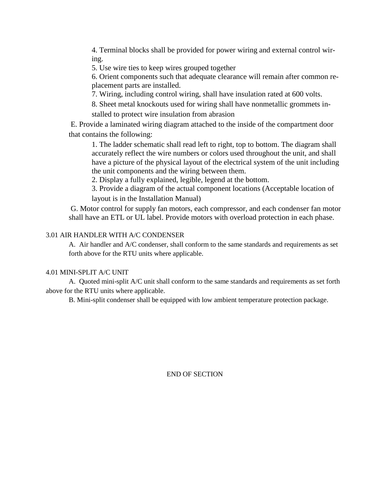4. Terminal blocks shall be provided for power wiring and external control wiring.

5. Use wire ties to keep wires grouped together

6. Orient components such that adequate clearance will remain after common replacement parts are installed.

7. Wiring, including control wiring, shall have insulation rated at 600 volts.

8. Sheet metal knockouts used for wiring shall have nonmetallic grommets installed to protect wire insulation from abrasion

E. Provide a laminated wiring diagram attached to the inside of the compartment door that contains the following:

1. The ladder schematic shall read left to right, top to bottom. The diagram shall accurately reflect the wire numbers or colors used throughout the unit, and shall have a picture of the physical layout of the electrical system of the unit including the unit components and the wiring between them.

2. Display a fully explained, legible, legend at the bottom.

3. Provide a diagram of the actual component locations (Acceptable location of

layout is in the Installation Manual)

<span id="page-50-0"></span>G. Motor control for supply fan motors, each compressor, and each condenser fan motor shall have an ETL or UL label. Provide motors with overload protection in each phase.

#### 3.01 AIR HANDLER WITH A/C CONDENSER

A. Air handler and A/C condenser, shall conform to the same standards and requirements as set forth above for the RTU units where applicable.

#### 4.01 MINI-SPLIT A/C UNIT

A. Quoted mini-split A/C unit shall conform to the same standards and requirements as set forth above for the RTU units where applicable.

B. Mini-split condenser shall be equipped with low ambient temperature protection package.

END OF SECTION